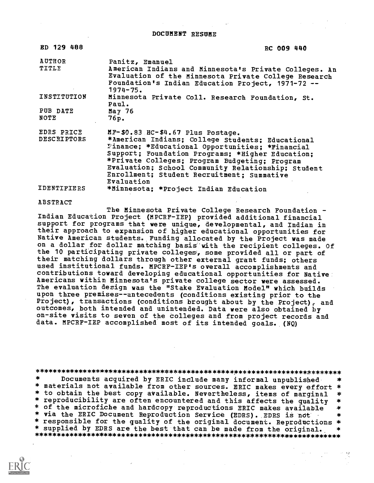DOCUMENT RESUME

| ED 129 488                       | RC 009 440                                                                                                                                                                                                                                                                                                                                                        |
|----------------------------------|-------------------------------------------------------------------------------------------------------------------------------------------------------------------------------------------------------------------------------------------------------------------------------------------------------------------------------------------------------------------|
| AUTHOR<br>TITLE                  | Panitz, Emanuel<br>American Indians and Minnesota's Private Colleges. An<br>Evaluation of the Minnesota Private College Research<br>Foundation's Indian Education Project, 1971-72 --<br>$1974 - 75.$                                                                                                                                                             |
| INSTITUTION                      | Minnesota Private Coll. Research Foundation, St.<br>Paul.                                                                                                                                                                                                                                                                                                         |
| PUB DATE<br>NOTE                 | May $76$<br>76p.                                                                                                                                                                                                                                                                                                                                                  |
| EDRS PRICE<br><b>DESCRIPTORS</b> | $MF-$0.83$ $HC-$4.67$ Plus Postage.<br>*American Indians; College Students; Educational<br>Finance; *Educational Opportunities; *Financial<br>Support; Foundation Programs; *Higher Education;<br>*Private Colleges; Program Budgeting; Program<br>Evaluation; School Community Relationship; Student<br>Enrollment; Student Recruitment; Summative<br>Evaluation |
| IDENTIFIERS                      | *Minnesota; *Project Indian Education                                                                                                                                                                                                                                                                                                                             |

#### ABSTRACT

The Minnesota Private College Research Foundation - Indian Education Project (MPCRF-IEP) provided additional financial support for programs that were unique, developmental, and Indian in their approach to expansion of higher educational opportunities for Native American students. Funding allocated by the Project was made on a dollar for dollar matching basis 'with the recipient colleges. Of the 10 participating private colleges, some provided all or part of their matching dollars through other external grant funds; others used institutional funds. MPCRF-IEP's overall accomplishments and contributions toward developing educational opportunities for Native Americans within Minnesota's private college sector were assessed. The evaluation design was the "Stake Evaluation Model" which builds upon three premises--antecedents (conditions existing prior to the Project), transactions (conditions brought about by the Project), and outcomes, both intended and unintended. Data were also obtained by on-site visits to seven of the colleges and from project records and data. MPCRF-IEP accomplished most of its intended goals. (NQ)

### \*\*\*\*\*\*\*\*\*\*\*\*\*\*\*\*\*\*\*\*\*\*\*\*\*\*\*\*\*\*\*\*\*\*\*\*\*\*\*\*\*\*\*\*\*\*\*\*\*\*\*\*\*\*\*\*\*\*\*\*\*\*\*\*\*\*\*\*\*\*\*

Documents acquired by ERIC include many informal unpublished \* materials not available from other sources. ERIC makes every effort \* \* to obtain the best copy available. Nevertheless, items of marginal \* \* reproducibility are often encountered and this affects the quality \* \* of the microfiche and hardcopy reproductions ERIC makes available \* \* via the ERIC Document Reproduction Service (EDRS). EDRS is not \* responsible for the quality of the original document. Reproductions \* \* supplied by EDRS are the best that can be made from the original. \*\*\*\*\*\*\*\*\*\*\*\*\*\*\*\*\*\*\*\*\*\*\*\*\*\*\*\*\*\*\*\*\*\*\*\*\*\*\*\*\*\*\*\*\*\*\*\*\*\*\*\*\*\*\*\*\*\*\*\*\*\*\*\*\*\*\*\*\*\*\*

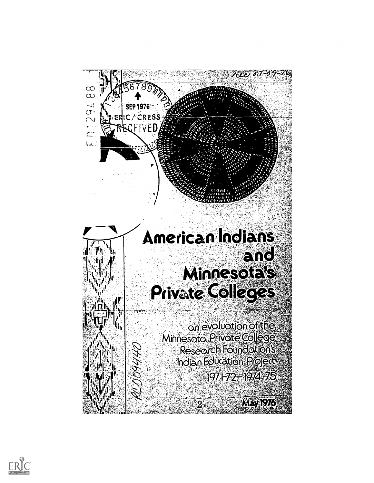

# American Indians EIRC Minnesotals Private Colleges

19444C

an evaluation of the **Minnesoto Privote College Research Foundations Indian Education Project** 1971-72-1974-75

Meyfels

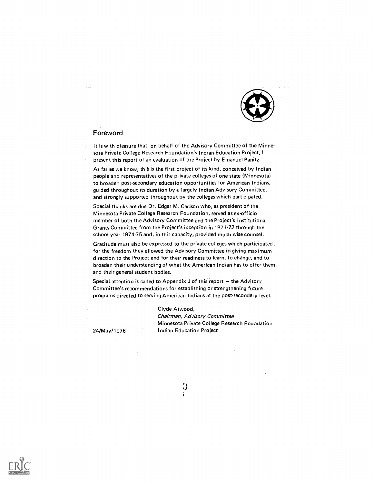

### Foreword

 $\mathcal{O}(2)$  and

It is with pleasure that, on behalf of the Advisory Committee of the Minnesota Private College Research Foundation's Indian Education Project, I present this report of an evaluation of the Project by Emanuel Panitz.

As far as we know, this is the first project of its kind, conceived by Indian people and representatives of the private colleges of one state (Minnesota) to broaden post-secondary education opportunities for American Indians, guided throughout its duration by a largely Indian Advisory Committee, and strongly supported throughout by the colleges which participated.

Special thanks are due Dr. Edgar M. Carlson who, as president of the Minnesota Private College Research Foundation, served as ex-officio member of both the Advisory Corhmittee and the Project's Institutional Grants Committee from the Project's inception in 1971-72 through the school year 1974-75 and, in this capacity, provided much wise counsel.

Gratitude must also be expressed to the private colleges which participated, for the freedom they allowed the Advisory Committee in giving maximum direction to the Project and for their readiness to learn, to change, and to broaden their understanding of what the American Indian has to offer them and their general student bodies.

Special attention is called to Appendix J of this report  $-$  the Advisory Committee's recommendations for establishing or strengthening future programs directed to serving American Indians at the post-secondary level.

> Clyde Atwood, Chairman, Advisory Committee Minnesota Private College Research Foundation Indian Education Project

24/May/1976



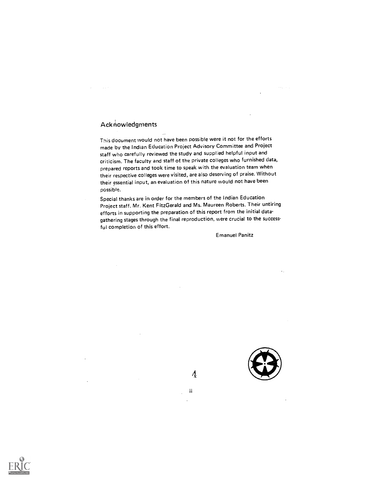## Acknowledgments

This document would not have been possible were it not for the efforts made by the Indian Education Project Advisory Committee and Project staff who carefully reviewed the study and supplied helpful input and criticism. The faculty and staff of the private colleges who furnished data, prepared reports and took time to speak with the evaluation team when their respective colleges were visited, are also deserving of praise. Without their essential input, an evaluation of this nature would not have been pOssible.

Special thanks are in order for the members of the Indian Education Project staff. Mr. Kent Fitz Gerald and Ms. Maureen Roberts. Their untiring efforts in supporting the preparation of this report from the initial datagathering stages through the final reproduction, were crucial to the successful completion of this eftort.

Emanuel Panitz



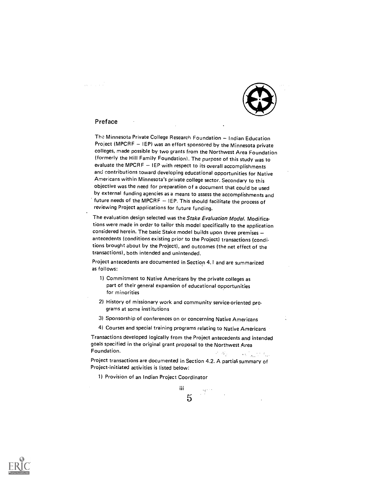#### Preface

 $\sqrt{2}$  ,  $\sqrt{2}$  ,  $\sqrt{2}$  ,  $\sqrt{2}$ 

The Minnesota Private College Research Foundation - Indian Education Project (MPCRF - IEP) was an effort sponsored by the Minnesota private colleges, made possible by two grants from the Northwest Area Foundation (formerly the Hill Family Foundation). The purpose of this study was to evaluate the MPCRF - IEP with respect to its overall accomplishments and contributions toward developing educational opportunities for Native Americans within Minnesota's private college sector. Secondary to this objective was the need for preparation of a document that could be used by external funding agencies as a means to assess the accomplishments and future needs of the MPCRF  $-$  1EP. This should facilitate the process of reviewing Project applications for future funding.

The evaluation design selected was the Stake Evaluation Model. Modifications were made in order to tailor this model specifically to the application considered herein. The basic Stake model builds upon three premises antecedents (conditions existing prior to the Project) transactions (conditions brought about by the Project), and outcomes (the net effect of the transactions), both intended and unintended.

Project antecedents are documented in Section 4.1 and are summarized as follows:

- 1) Commitment to Native Americans by the private colleges as part of their general expansion of educational opportunities for minorities
- 2) History of missionary work and community service-oriented programs at some institutions
- 3) Sponsorship of conferences on or concerning Native Americans
- 4) Courses and special training programs relating to Native Americans

Transactions developed logically from the Project antecedents and intended goals specified in the original grant proposal to the Northwest Area Foundation.  $\mathcal{L}^{\text{max}}$  $\mathcal{L}_{\text{max}}$  , where  $\mathcal{L}_{\text{max}}$ 

Project transactions are documented in Section 4.2. A partial summary of Project-initiated activities is listed below:

1) Provision of an Indian Project Coordinator

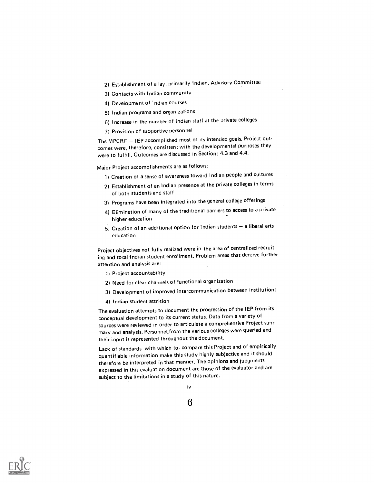- 2) Establishment of a lay, primarily Indian, Advisory Committee
- 3) Contacts with Indian community
- 4) Development of Indian courses
- 5) Indian programs and organizations
- 6) Increase in the number of Indian staff at the private colleges
- 7) Provision of supportive personnel

The MPCRF - IEP accomplished most of its intended goals. Project outcomes were, therefore, consistent with the developmental purposes they were to fulfill. Outcomes are discussed in Sections 4.3 and 4.4.

Major Project accomplishments are as follows:

- 1) Creation of a sense of awareness toward Indian people and cultures
- 2) Establishment of an Indian presence at the private colleges in terms of both students and staff
- 31 Programs have been integrated into the general college offerings
- 4) Elimination of many of the traditional barriers to access to a private higher education
- $5)$  Creation of an additional option for Indian students  $-$  a liberal arts education

Project objectives not fully realized were in the area of centralized recruiting and total Indian student enrollment. Problem areas that deserve further attention and analysis are:

- 1) Project accountability
- 2) Need for clear channels of functional organization
- 3) Development of improved intercommunication between institutions
- 4) Indian student attrition

The evaluation attempts to document the progression of the IEP from its conceptual development to its current status. Data from a variety of sources were reviewed in order to articulate a comprehensive Project summary and analysis. PersonneLfrom the various colleges were queried and their input is represented throughout the document.

Lack of standards with which to, compare this Project and of empirically quantifiable information make this study highly subjective and it should therefore be interpreted in that manner. The opinions and judgments expressed in this evaluation document are those of the evaluator and are subject to the limitations in a study of this nature.



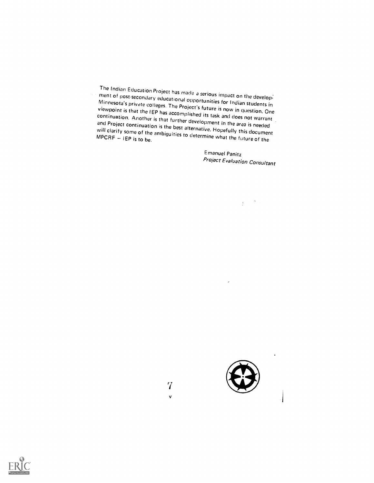The Indian Education Project has made a serious impact on the develop.<br>
ment of post-secondary educational opportunities for Indian students in<br>
Minnesota's private colleges. The Project's future is now in question. One<br>
v will clarify some of the ambiguities to determine what the future of the

 $7$  and  $7$ 

 $\mathbf v$ 

Emanuel Panitz Project Evaluation Consultant

ý

 $\frac{1}{\sqrt{2}}$  $\frac{1}{2}$  ,  $\frac{1}{2}$ 

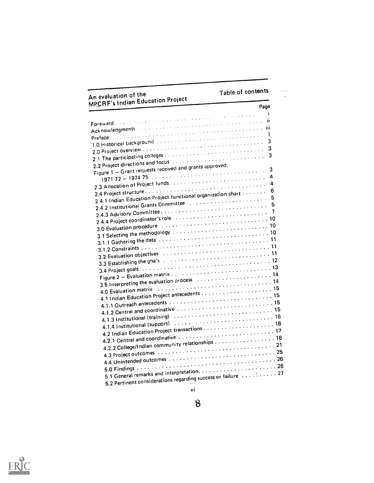# Table of contents

| An evaluation of the                                                                                                                   | Table of contents |
|----------------------------------------------------------------------------------------------------------------------------------------|-------------------|
| <b>MPCRF's Indian Education Project</b>                                                                                                | Page              |
|                                                                                                                                        | i.                |
| Foreward a comment in the comment of the comment of the comment<br>Acknowledgments and account the construction of the construction of | ïi                |
| Preface a communication of the communication of the communication of the communication of the communication of                         | Ï١                |
| 1.0 Historical background assessment assessment assessment to the                                                                      | 1                 |
| 2.0 Project overview www.www.www.www.www.www.www.w                                                                                     | 3                 |
| 2.1 The participating colleges conservation of the conservation of the conservation of                                                 | 3                 |
| 2.2 Project directions and focus in a conservation of the conservation                                                                 | 3                 |
|                                                                                                                                        |                   |
| Figure 1 - Grant requests received and grants approved,                                                                                | 3                 |
| 2.3 Allocation of Project funds in a conservation of the conservation of                                                               | 4                 |
|                                                                                                                                        | 4                 |
| 2.4.1 Indian Education Project functional organization chart of the con-                                                               | 6                 |
|                                                                                                                                        | 5                 |
| 2.4.2 Institutional Grants Committee (also conservation of the setting                                                                 | 5                 |
|                                                                                                                                        |                   |
| 2.4.4 Project coordinator's role with a substantial contract to the 2.4.4 Project coordinator's role                                   |                   |
| 3.0 Evaluation procedure expression of the contract of the state of the state of the state of the state of the                         |                   |
|                                                                                                                                        |                   |
|                                                                                                                                        |                   |
| 3.2 Evaluation objectives and account the contract of the contract of the S                                                            |                   |
|                                                                                                                                        |                   |
| 3.3 Establishing the goals are constructed to the construction of $11$                                                                 |                   |
|                                                                                                                                        |                   |
|                                                                                                                                        |                   |
| 3.5 Interpreting the evaluation process we are selected to the control of 14                                                           |                   |
| 4.0 Evaluation matrix (Alter and Alter and Alter and Alter and Alter and Alter and Alter and Alter and Alter a                         |                   |
|                                                                                                                                        |                   |
|                                                                                                                                        |                   |
| 4.1.2 Central and coordinative $\ldots \ldots \ldots \ldots \ldots \ldots \ldots \ldots \ldots \ldots 15$                              |                   |
| 4.1.3 Institutional (training) (all conveniences in the set of the set of the set of the set of the set of the                         |                   |
| 4.1.4 Institutional (support) $\ldots \ldots \ldots \ldots \ldots \ldots \ldots \ldots \ldots \ldots \ldots$                           |                   |
|                                                                                                                                        |                   |
| 4.2.1 Central and coordinative $\ldots \ldots \ldots \ldots \ldots \ldots \ldots \ldots \ldots \ldots 17$                              |                   |
| 4.2.2 College/Indian community relationships 18                                                                                        |                   |
|                                                                                                                                        |                   |
| 4.4 Unintended outcomes expressions of the Universe Contractor of the Unintended Outcomes experience of the Universe Contractor        |                   |
|                                                                                                                                        |                   |
|                                                                                                                                        |                   |
| 5.2 Pertinent considerations regarding success or failure $\dots\dots\dots$ 27                                                         |                   |
|                                                                                                                                        |                   |
| vi                                                                                                                                     |                   |



 $\mathbf{8}$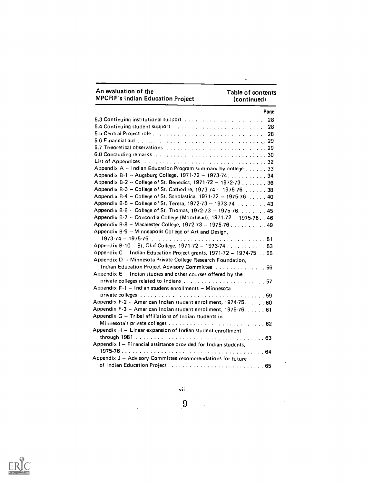| An evaluation of the<br><b>MPCRF's Indian Education Project</b>                                 | <b>Table of contents</b><br>(continued) |
|-------------------------------------------------------------------------------------------------|-----------------------------------------|
|                                                                                                 | Page                                    |
| 5.3 Continuing institutional support (and all contained all continuing 28                       |                                         |
| 5.4 Continuing student support $\ldots \ldots \ldots \ldots \ldots \ldots \ldots \ldots \ldots$ |                                         |
|                                                                                                 |                                         |
|                                                                                                 |                                         |
|                                                                                                 |                                         |
|                                                                                                 |                                         |
|                                                                                                 |                                         |
| Appendix A - Indian Education Program summary by college 33                                     |                                         |
| Appendix B-1 -- Augsburg College, 1971-72 -- 1973-74. 34                                        |                                         |
| Appendix B-2 -- College of St. Benedict, 1971-72 -- 1972-73 36                                  |                                         |
| Appendix B.3 - College of St. Catherine, 1973-74 - 1975-76 38                                   |                                         |
| Appendix B-4 - College of St. Scholastica, 1971-72 - 1975-76  40                                |                                         |
| Appendix B.5 - College of St. Teresa, 1972-73 - 1973-74 43                                      |                                         |
| Appendix B 6 - College of St. Thomas, 1972-73 -- 1975-76. 45                                    |                                         |
| Appendix B.7 · Concordia College (Moorhead), 1971-72 - 1975-76, 46                              |                                         |
| Appendix B.8 - Macalester College, 1972-73 -- 1975-76 49                                        |                                         |
| Appendix B-9 - Minneapolis College of Art and Design,                                           |                                         |
|                                                                                                 |                                         |
| Appendix B-10 -- St. Olaf College, 1971-72 -- 1973-74 53                                        |                                         |
| Appendix C - Indian Education Project grants, 1971-72 - 1974-75 55                              |                                         |
| Appendix D - Minnesota Private College Research Foundation,                                     |                                         |
| Indian Education Project Advisory Committee  56                                                 |                                         |
| Appendix $E - I$ ndian studies and other courses offered by the                                 |                                         |
|                                                                                                 |                                         |
| Appendix F-1 - Indian student enrollments - Minnesota                                           |                                         |
|                                                                                                 |                                         |
| Appendix F-2 - American Indian student enrollment, 1974-75. 60                                  |                                         |
| Appendix F-3 - American Indian student enrollment, 1975-76. 61                                  |                                         |
| Appendix G - Tribal affiliations of Indian students in                                          |                                         |
|                                                                                                 |                                         |
| Appendix H - Linear expansion of Indian student enrollment                                      |                                         |
|                                                                                                 |                                         |
| Appendix I - Financial assistance provided for Indian students.                                 |                                         |
|                                                                                                 |                                         |
| Appendix J - Advisory Committee recommendations for future                                      |                                         |
|                                                                                                 |                                         |
|                                                                                                 |                                         |

 $\mathbf{v}$ 



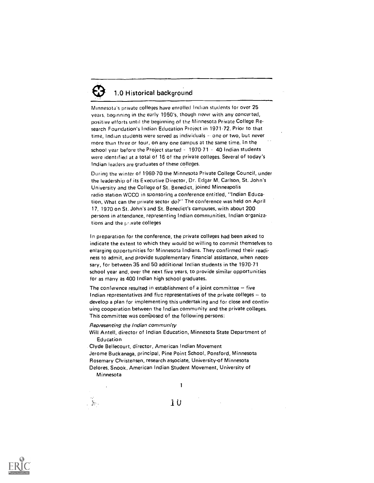# 1.0 Historical background

Minnesota's private colleges have enrolled Indian students for over 25 years, beginning in the early 1950's, though never with any concerted, positive efforts until the beginning of the Minnesota Private College Research Foundation's Indian Education Project in 1971-72. Prior to that time, Indian students were served as individuals  $\sim$  one or two, but never more than three or four, on any one campus at the same time. In the school year before the Project started  $-1970-71 - 40$  Indian students were identified at a total of 16 of the private colleges. Several of today's Indian leaders are graduates of these colleges.

During the winter of 1969-70 the Minnesota Private College Council, under the leadership of its Executive Director, Dr. Edgar M. Carlson, St. John's University and the College of St. Benedict, joined Minneapolis radio station WCCO in sponsoring a conference entitled, "Indian Education, What can the private sector do?" The conference was held on April 17, 1970 on St. John's and St. Benedict's campuses, with about 200 persons in attendance, representing Indian communities, Indian organizations and the private colleges

In preparation for the conference, the private colleges had been asked to indicate the extent to which they would be willing to commit themselves to enlarging opportunities for Minnesota Indians. They confirmed their readiness to admit, and provide supplementary financial assistance, when necessary, for between 35 and 50 additional Indian students in the 1970-71 school year and, over the next five years, to provide similar opportunities for as many as 400 Indian high school graduates.

The conference resulted in establishment of a joint committee  $-$  five Indian representatives and five representatives of the private colleges - to develop a plan for implementing this undertaking and for close and continuing cooperation between the Indian community and the private colleges. This committee was composed of the following persons:

#### Representing the Indian community

Will Antell, director of Indian Education, Minnesota State Department of Education

Clyde Bellecourt, director, American Indian Movement Jerome Buckanaga, principal, Pine Point School, Ponsford, Minnesota Rosemary Christensen, research associate, University-of Minnesota Delores, Snook, American Indian Student Movement, University of Minnesota

 $\mathcal{N}_{\mathcal{C}}$ 

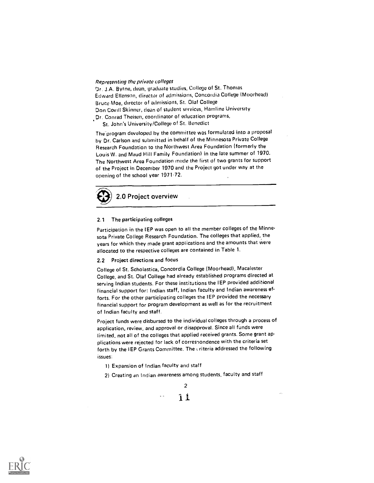#### Representing the private colleges

Dr. J.A. Byrne, dean, graduate studies, College of St. Thomas Edward Elfenson, director of admissions, Concordia College (Moorhead) Bruce Moe, director of admissions, St. Olaf College Don Covill Skinner, dean of student services, Hamline University Dr. Conrad Theisen, coordinator of education programs,

St. John's University/College of St. Benedict

The program developed by the committee was formulated into a proposal by Dr. Carlson and submitted in behalf of the Minnesota Private College Research Foundation to the Northwest Area Foundation (formerly the Louis W. and Maud Hill Family Foundation) in the late summer of 1970. The Northwest Area Foundation made the first of two grants for support of the Project in December 1970 and the Project got under way at the opening of the school year 1971.72.



#### 2.1 The participating colleges

Participation in the IEP was open to all the member colleges of the Minnesota Private College Research Foundation. The colleges that applied, the years for which they made grant applications and the amounts that were allocated to the respective colleges are contained in Table 1.

#### 2.2 Project directions and focus

College of St. Scholastica, Concordia College (Moorhead), Macalester College, and St. Olaf College had already established programs directed at serving Indian students. For these institutions the IEP provided additional financial support for: Indian staff, Indian faculty and Indian awareness efforts. For the other participating colleges the IEP provided the necessary financial support for program development as well as for the recruitment of Indian faculty and staff.

Project funds were disbursed to the individual colleges through a process of application, review, and approval or disapproval. Since all funds were limited, not all of the colleges that applied received grants. Some grant applications were rejected for lack of correspondence with the criteria set forth by the IEP Grants Committee. The criteria addressed the following issues:

1) Expansion of Indian faculty and staff

2) Creating an Indian awareness among students, faculty and staff



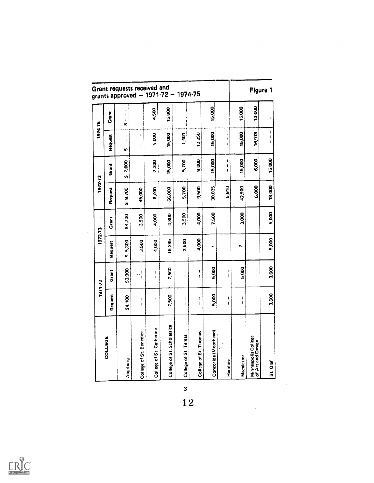|         |         | Grant requests received and<br>grants approved - 1971-72 - |                               |                              |                            |                       | 1974-75               |                      |                                                                                                                                                                                                                                                                                                                                                                                                                      |                   |                                                                                                                                                                                                                                                                                                                                                                                                                                | Figure 1                          |
|---------|---------|------------------------------------------------------------|-------------------------------|------------------------------|----------------------------|-----------------------|-----------------------|----------------------|----------------------------------------------------------------------------------------------------------------------------------------------------------------------------------------------------------------------------------------------------------------------------------------------------------------------------------------------------------------------------------------------------------------------|-------------------|--------------------------------------------------------------------------------------------------------------------------------------------------------------------------------------------------------------------------------------------------------------------------------------------------------------------------------------------------------------------------------------------------------------------------------|-----------------------------------|
|         | Grant   | $\mathfrak{t}$<br>S,                                       |                               | 4,500                        | 15,000                     |                       |                       | 15,000               | ï                                                                                                                                                                                                                                                                                                                                                                                                                    | 15,000            | 13,000                                                                                                                                                                                                                                                                                                                                                                                                                         | $\mathbf{I}$<br>ł                 |
| 1974-75 | Request | ł<br>$\mathbf{l}$<br>S,                                    |                               | 5,000                        | 15,000                     | 1,401                 | 12,250                | 15,000               | ١<br>Ï<br>$\pmb{\mathfrak{p}}$                                                                                                                                                                                                                                                                                                                                                                                       | 15,000            | 16,978                                                                                                                                                                                                                                                                                                                                                                                                                         | I<br>$\mathbf{I}$<br>$\mathbf{I}$ |
|         | Grant   | \$7,000                                                    |                               | <b>DOE'L</b>                 | 15,000                     | 5,700                 | 9,000                 | 15,000               | ł<br>$\mathsf I$<br>$\mathbf{I}$                                                                                                                                                                                                                                                                                                                                                                                     | 15,000            | 6,000                                                                                                                                                                                                                                                                                                                                                                                                                          | 15,000                            |
| 1972-73 | Request | \$9.700                                                    | 45,000                        | 8,000                        | 66,000                     | 5,700                 | 9,500                 | 30,025               | 5,910                                                                                                                                                                                                                                                                                                                                                                                                                | 42,500            | 6.000                                                                                                                                                                                                                                                                                                                                                                                                                          | 18,000                            |
| ţ.      | Grant   | \$4,700                                                    | 3.500                         | 4,000                        | 4,800                      | 3,500                 | 4,000                 | 7,500                | L<br>$\mathbf{I}$                                                                                                                                                                                                                                                                                                                                                                                                    | 3,000             | ۱<br>$\mathbf{I}$                                                                                                                                                                                                                                                                                                                                                                                                              | 5,000                             |
| 1972-73 | Request | 5.300<br>U)                                                | 3,500                         | 4,000                        | 16,295                     | 3,500                 | 4,000                 | N.                   | I<br>$\mathbf{I}$                                                                                                                                                                                                                                                                                                                                                                                                    | Ñ.                | I<br>Ţ                                                                                                                                                                                                                                                                                                                                                                                                                         | 5,000                             |
| 1971-72 | Grant   | \$3,900                                                    | $\frac{1}{1}$                 | ì<br>$\mathbf{I}$            | 7,500                      | ١<br>$\bar{\rm I}$    | I<br>$\mathfrak{t}$   | 5,000                | $\begin{array}{c} \rule{0pt}{2ex} \rule{0pt}{2ex} \rule{0pt}{2ex} \rule{0pt}{2ex} \rule{0pt}{2ex} \rule{0pt}{2ex} \rule{0pt}{2ex} \rule{0pt}{2ex} \rule{0pt}{2ex} \rule{0pt}{2ex} \rule{0pt}{2ex} \rule{0pt}{2ex} \rule{0pt}{2ex} \rule{0pt}{2ex} \rule{0pt}{2ex} \rule{0pt}{2ex} \rule{0pt}{2ex} \rule{0pt}{2ex} \rule{0pt}{2ex} \rule{0pt}{2ex} \rule{0pt}{2ex} \rule{0pt}{2ex} \rule{0pt}{2ex} \rule{0pt}{$<br>Ĭ. | 5,000             | $\begin{array}{c} \rule{0pt}{2ex} \rule{0pt}{2ex} \rule{0pt}{2ex} \rule{0pt}{2ex} \rule{0pt}{2ex} \rule{0pt}{2ex} \rule{0pt}{2ex} \rule{0pt}{2ex} \rule{0pt}{2ex} \rule{0pt}{2ex} \rule{0pt}{2ex} \rule{0pt}{2ex} \rule{0pt}{2ex} \rule{0pt}{2ex} \rule{0pt}{2ex} \rule{0pt}{2ex} \rule{0pt}{2ex} \rule{0pt}{2ex} \rule{0pt}{2ex} \rule{0pt}{2ex} \rule{0pt}{2ex} \rule{0pt}{2ex} \rule{0pt}{2ex} \rule{0pt}{$<br>$\mathbf{I}$ | 3,600                             |
|         | Request | \$4,100                                                    | $\mathfrak l$<br>$\mathbf{I}$ | $\mathbf{I}$<br>$\mathbf{I}$ | 7,500                      | I<br>$\mathbf I$      | ı<br>ł                | 5,000                | ı<br>I                                                                                                                                                                                                                                                                                                                                                                                                               | t<br>$\mathbf{I}$ | ţ<br>ţ                                                                                                                                                                                                                                                                                                                                                                                                                         | 3,500                             |
|         | COLLEGE | Bingsbng                                                   | College of St. Benedict       | College of St. Catherine     | College of St. Scholastica | College of St. Teresa | College of St. Thomas | Concorida (Moorhead) | Hamline                                                                                                                                                                                                                                                                                                                                                                                                              | Macalester        | Minneapolis College<br>of Art and Design                                                                                                                                                                                                                                                                                                                                                                                       | St. Olaf                          |

 $\overline{\mathbf{3}}$ 12

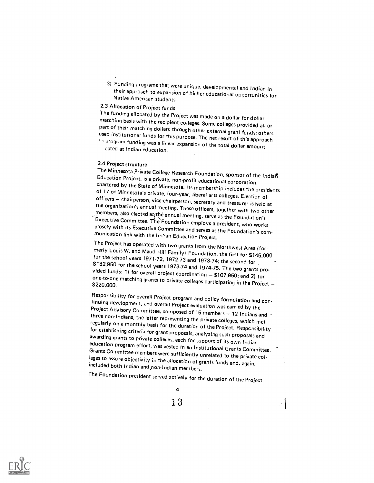31 Funding progiams that were unique, developmental and Indian in their approach to expansion of higher educational opportunities for Native American students

2.3 Allocation of Project funds<br>The funding allocated by the Project was made on a dollar for dollar matching basis with the recipient colleges. Some colleges provided all or<br>part of their matching dollars through other external grant funds; others<br>used institutional funds for this purpose. The net result of this approach

 $\sim$  program funding was a linear expansion of the total dollar amount -,..cted at Indian education.

2.4 Project structure<br>The Minnesota Private College Research Foundation, sponsor of the Indian Education Project, is a private, non-profit educational corporation,<br>chartered by the State of Minnesota. Its membership includes the presidents<br>of 17 of Minnesota's private, four-year, liberal arts colleges. Election of<br>o

Executive Committee and serves as the Foundation's communication link with the Ir :ian Education Project.<br>The Project has operated with two grants from the Northwest Area (for-

merly Louis W. and Maud Hill Family) Foundation, the first for \$145,000<br>for the school years 1971-72, 1972-73 and 1973-74; the second for<br>\$182,950 for the school years 1973-74 and 1974-75. The two grants pro-<br>vided funds:

Responsibility for overall Project program and policy formulation and con-<br>tinuing development, and overall Project evaluation was carried by the<br>Project Advisory Committee, composed of 15 members – 12 Indians and<br>three no

The Foundation president served actively for the duration of the Project



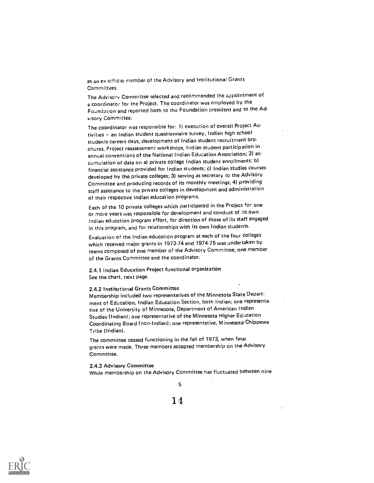as an ex.officio member of the Advisory and Institutional Grants Committees.

The Advisory Committee selected and recommended the appointment of. a coordinator for the Project. The coordinator was employed by the Foundation and reported both to the Foundation president and to the Advisory Committee.

The coordinator was responsible for: 1) execution of overall Project Activities - an Indian student questionnaire survey, Indian high school students careers days, development of Indian student recruitment bro. chures, Project reassessment workshops, Indian student participation in annual conventions of the National Indian Education Association; 2) accumulation of data on a) private college Indian student enrollments; b) financial assistance provided for Indian students; c) Indian studies courses developed by the private colleges; 3) serving as secretary to the Advisory Committee and producing records of its monthly meetings; 4) providing staff assistance to the private colleges in development and administration of their respective Indian education programs.

Each of the 10 private colleges which participated in the Project for one or more years was responsible for development and conduct of its own Indian education program effort, for direction of those of its staff engaged in this program, and for relationships with its own Indian students.

Evaluation of the Indian education program at each of the four colleges which received major grants in 1973-74 and 1974-75 was undertaken by teams composed of one member of the Advisory Committee, one member of the Grants Committee and the coordinator.

2.4.1 Indian Education Project functional organization See the chart, next page.

#### 2.4.2 Institutional Grants Committee

Membership included two representatives of the Minnesota State Department of Education, Indian Education Section, both Indian; one representative of the University of Minnesota, Department of American Indian Studies (Indian); one representative of the Minnesota Higher Education Coordinating Board (non-Indian); one representative, Minnesota Chippewa Tribe (Indian).

The committee ceased functioning in the fall of 1973, when final grants were made. Three members accepted membership on the Advisory Committee.

2.4.3 Advisory Committee While membership on the Advisory Committee has fluctuated between nine

5

14.



 $\mathcal{L}_{\text{max}}$  , we have the set of  $\mathcal{L}_{\text{max}}$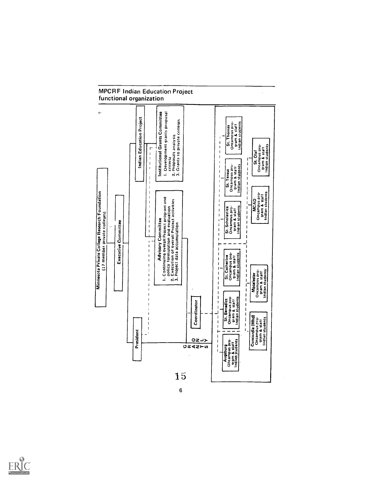

# **MPCRF Indian Education Project**

 $\boldsymbol{6}$ 

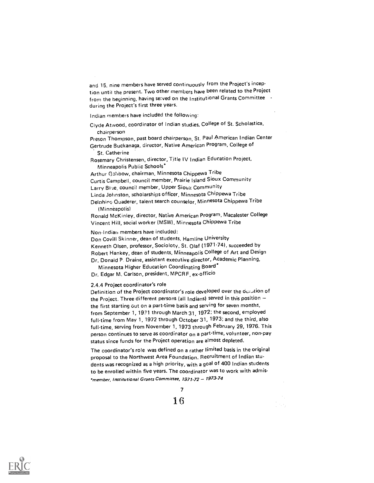and 15, nine members have served continuously from the Project's inception until the present. Two other members have been related to the Project from the beginning, having served on the Institutional Grants Committee during the Project's first three years.

Indian members have included the following:

Clyde Atwood, coordinator of Indian studies, College of St. Scholastica, chairperson

Preson Thompson, past board chairperson, St. Paul American Indian Center Gertrude Buckanaga, director, Native American Program, College of St. Catherine

Rosemary Christensen, director, Title IV Indian Education Project, Minneapolis Public Schools`

Arthur Gahbow, chairman, Minnesota Chippewa Tribe Curtis Campbell, council member, Prairie Island Sioux Community Larry Blue, counci! member, Upper Sioux Community Linda Johnston, scholarships officer, Minnesota Chippewa Tribe Delnhinc: Quaderer, talent search counselor, Minnesota Chippewa Tribe (Minneapolis)

Ronald McKinley, director, Native American Program, Macalester College Vincent Hill, social worker (MSW), Minnesota ChiPPewa Tribe

Non-Indian members have included:

Don Covill Skinner, dean of students, Hamline University Kenneth Olsen, professor, Socioloty, St. Olaf (1971.74), succeeded by Robert Hankey, dean of students, Minneapolis College of Art and Design Dr. Donaid P. Draine, assistant executive director, Academic Planning,

Minnesota Higher Education Coordinating Board\* Dr. Edgar M. Carlson, president, MPCRF, ex-officio

2.4.4 Project coordinator's role

Definition of the Project coordinator's role developed over the oundtion of the Project. Three different persons (all Indians) served in this position the first starting out on a part-time basis and serving for seven months, from September 1, 1971 through March 31, 1972; the second, employed full-time from May 1, 1972 through October 31, 1973; and the third, also full-time, serving from November 1, 1973 through February 29, 1976. This person continues to serve as coordinator <sub>On a part-time, volunteer, non-pay</sub> status since funds for the Project operation are almost depleted.

The coordinator's role was defined on a rather limited basis in the original proposal to the Northwest Area Foundation. Recruitment of Indian students was recognized as a high priority, with a goal of 400 Indian students to be enrolled within five years. The coordinator was to work with admis- \*member, Institutional Grants Committee, 1971-72 - 1973-74



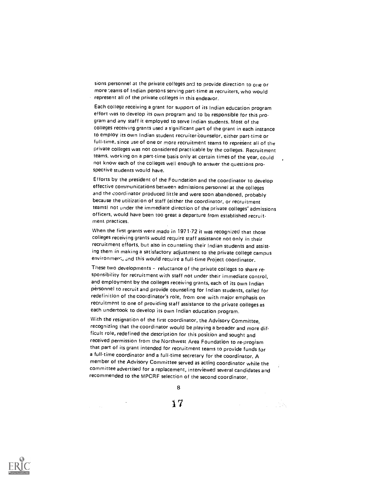sions personnel at the private colleges and to provide direction to one or more teanis of Indian persons serving part time as recruiters, who would represent all of the private ccIleges in this endeavor.

Each college receiving a grant for support of its Indian education program effort was to develop its own program and to be responsible for this program and any staff it employed to serve Indian students. Most of the colleges receiving grants used a significant part of the grant in each instance to employ its own Indian student recruiter-counselor, either part-time or full-time, since use of one or more recruitment teams to represent all of the private colleges was not considered practicable by the colleges. Recruitment teams, working on a part-time basis only at certain times of the year, could not know each of the colleges well enough to answer the questions prospective students would have.

Efforts by the president of the Foundation and the coordinator to develop effective communications between admissions personnel at the colleges and the coordinator produced little and were soon abandoned, probably because the utilization of staff (either the coordinator, or recruitment teams) not under the immediate direction of the private colleges' admissions officers, would have been too great a departure from established recruitment practices.

When the first grants were made in 1971-72 it was recognized that those colleges receiving grants would require staff assistance not only in their recruitment efforts, but also in counseling their Indian students and assisting them in making a satisfactory adjustment to the private college campus environment, and this would require a full-time Project coordinator.

These two developments - reluctance of the private colleges to share responsibility for recruitment with staff not under their immediate control, and employment by the colleges receiving grants, each of its own Indian personnel to recruit and provide counseling for Indian students, called for redefinition of the coordinator's role, from one with major emphasis on recruitment to one of providing staff assistance to the private colleges as each undertook to develop its own Indian education program.

With the resignation of the first coordinator, the Advisory Committee, recognizing that the coordinator would be playing a broader and more difficult role, redefined the description for this position and sought and received permission from the Northwest Area Foundation to re-program that part of its grant intended for recruitment teams to provide funds for a full-time coordinator and a full-time secretary for the coordinator. A member of the Advisory Committee served as acting coordinator while the committee advertised for a replacement, interviewed several candidates and recommended to the MPCRF selection of the second coordinator.

8

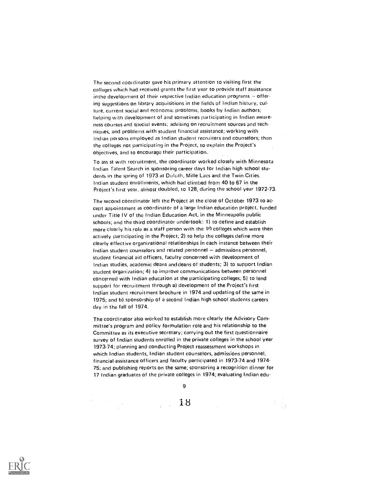The second coordinator gave his primary attention to visiting first the colleges which had received grants the first year to provide staff assistance in the development of their respective Indian education programs  $-$  offering suggestions on library acquisitions in the fields of Indian history, culture, current social and economic problems, hooks by Indian authors; helping with development of and sometimes participating in Indian awareness courses and special events; advising on recruitment sources and techniques, and problems with student financial assistance; working with Indian persons employed as Indian student recruiters and counselors; then the colleges not participating in the Project, to explain the Project's ohjectives, and to encourage their participation.

To ass st with recruitment, the coordinator worked closely with Minnesota Indian ralent Search in sponsoring career clays for Indian high school students in the spring of 1973 at Duluth, Mille Lacs and the Twin Cities. Indian student enrollments, which had climbed from 40 to 67 in the Project's first year, almost doubled, to 128, during the school year 1972-73.

The second coordinator left the Project at the close of October 1973 to accept appointment as coordinator of a large Indian education project, funded under Title IV of the Indian Education Act, in the Minneapolis public schools; and the third coordinator undertook: 1) to define and establish more clearly his role as a staff person with the 10 colleges which were then actively participating in the Project; 2) to help the colleges define more clearly effective organizational relationships in each instance between their Indian student counselors and related personnel - admissions personnel, student financial aid officers, faculty concerned with development of Indian studies, academic deans anddeans of students; 3) to support Indian student organization; 4) to improve communications between personnel concerned with Indian education at the participating colleges; 5) to lend support for recruitment through a) development of the Project's first Indian student recruitment brochure in 1974 and updating of the same in 1975; and b) sponsorship of a second Indian high school students careers day in the fall of 1974.

The coordinator also worked to establish more clearly the Advisory Committee's program and policy formulation role and his relationship to the Committee as its executive secretary; carrying out the first questionnaire survey of Indian students enrolled in the private colleges in the school year 1973.74; planning and conducting Project reassessment workshops in which Indian students, Indian student counselors, admissions personnel, financial assistance officers and faculty participated in 1973-74 and 1974- 75; and publishing reports on the same; sponsoring a recognition dinner for 17 Indian graduates of the private colleges in 1974; evaluating Indian edu-

9

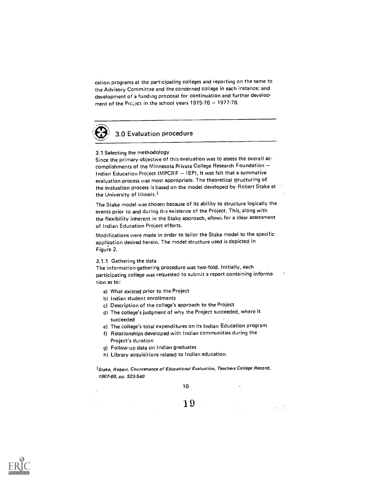cation programs at the participating colleges and reporting on the same to the Advisory Committee and the concerned college in each instance; and development of a funding proposal for continuation and further development of the Project in the school years  $1975-76 - 1977-78$ .

# 3.0 Evaluation procedure

#### 3.1 Selecting the methodology

Since the primary objective of this evaluation was to assess the overall accomplishments of the Minnesota Private College Research Foundation Indian Education Project (MPCRF - IEP), it was felt that a summative evaluation process was most appropriate. The theoretical structuring of the evaluation process is based on the model developed by Robert Stake at the University of Illinois.<sup>1</sup>

The Stake model was chosen because of its ability to structure logically the events prior to and during the existence of the Project. This, along with the flexibility inherent in the Stake approach, allows for a clear assessment of Indian Education Project efforts.

Modifications were made in order to tailor the Stake model to the specific application desired herein. The model structure used is depicted in Figure 2.

#### 3.1.1 Gathering the data

The information.gathering procedure was two-fold. Initially, each participating college was requested to submit a report containing information as to:

- a) What existed prior to the Project
- b) Indian student enrollments
- c) Description of the college's approach to the Project
- d) The college's judgment of why the Project succeeded, where it succeeded
- e) The college's total expenditures on its Indian Education program
- f) Relationships developed with Indian communities during the Project's duration
- g) Follow.up data on Indian graduates
- h) Library acquisitions related to Indian education.

1Stake, Robert. Countenance of Educational Evaluation, Teachers College Record, 1967-68, pp. 523.540

10

1 9

an<br>San Sa

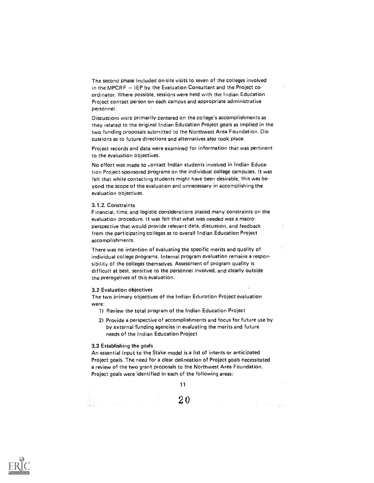The second phase included on-site visits to seven of the colleges involved in the MPCRF  $-$  IEP by the Evaluation Consultant and the Project coordinator. Where possible, sessions were held with the Indian Education Project contact person on each campus and appropriate administrative personnel.

Discussions were primarily centered on the college's accomplishments as they related to the original Indian Education Project goals as implied in the two funding proposals submitted to the Northwest Area Foundation. Discussions as to future directions and alternatives also took place.

Project records and data were examined for information that was pertinent to the evaluation objectives.

No effort was made to contact Indian students involved in Indian Education Project-sponsored programs on the individual college campuses. It was felt that while contacting students might have been desirable, this was beyond the scope of the evaluation and unnecessary in accomplishing the evaluation objectives.

#### 3.1.2. Constraints

Financial, time, and logistic considerations placed many constraints on the evaluation procedure. It was felt that what was needed was a macroperspective that would provide relevant data, discussion, and feedback from the participating colleges as to overall Indian Education Project accomplishments.

There was no intention of evaluating the specific merits and quality of individual college programs. Internal program evaluation remains a responsibility of the colleges themselves. Assessment of program quality is difficult at best, sensitive to the personnel involved, and clearly outside the prerogatives of this evaluation.

#### 3.2 Evaluation objectives

The two primary objectives of the Indian Education Project evaluation were:

1) Review the total program of the Indian Education Project

2) Provide a perspective of accomplishments and focus for future use by by external funding agencies in evaluating the merits and future needs of the Indian Education Project

#### 3.3 Establishing the goals

An essential input to the Stake model is a list of intents or anticipated Project goals. The need for a clear delineation of Project goals necessitated a review of the two grant proposals to the Northwest Area Foundation. Project goals were identified in each of the following areas:

11

2 0

and the state of the

 $\label{eq:G1} \text{diag} \left( \begin{array}{cc} 1 & 0 & 0 \\ 0 & 1 & 0 \\ 0 & 0 & 0 \end{array} \right) = \left( \begin{array}{cc} 1 & 0 & 0 \\ 0 & 1 & 0 \\ 0 & 0 & 0 \end{array} \right) = \left( \begin{array}{cc} 1 & 0 & 0 \\ 0 & 1 & 0 \\ 0 & 0 & 0 \end{array} \right) = \left( \begin{array}{cc} 1 & 0 & 0 \\ 0 & 1 & 0 \\ 0 & 0 & 0 \end{array} \right) = \left( \begin{array}{cc} 1 & 0 & 0 \\ 0 & 1 & 0$ 

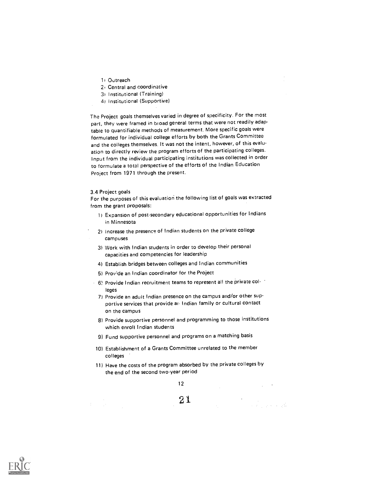- 1) Outreach
- 2, Central and coordinative
- 3) Institutional (Training)
- 4) Institutional (Supportive)

The Project goals themselves varied in degree of specificity. For the most part, they were framed in broad general terms that were not readily adaptable to quantifiable methods of measurement. More specific goals were formulated for individual college efforts by both the Grants Committee and the colleges themselves. It was not the intent, however, of this evaluation to directly review the program efforts of the participating colleges. Input from the individual participating institutions was collected in order to formulate a total perspective of the efforts of the Indian Education Project from 1971 through the present.

#### 3.4 Project goals

For the purposes of this evaluation the following list of goals was extracted from the grant proposals:

- 1) Expansion of post-secondary educational opportunities for Indians in Minnesota
- 21 Increase the presence of Indian students on the private college campuses
- 3) Work with Indian students in order to develop their personal capacities and competencies for leadership
- 4) Establish bridges between colleges and Indian communities
- 5) Prov'de an Indian coordinator for the Project
- $-6$ ! Provide Indian recruitment teams to represent all the private col- $$ leges
	- 7) Provide an adult Indian presence on the campus and/or other supportive services that provide an Indian family or cultural contact on the campus
	- 8) Provide supportive personnel and programming to those institutions which enroll Indian students
	- 9) Fund supportive personnel and programs on a matching basis
- 10) Establishment of a Grants Committee unrelated to the member colleges
- 11) Have the costs of the program absorbed by the private colleges by the end of the second two-year period

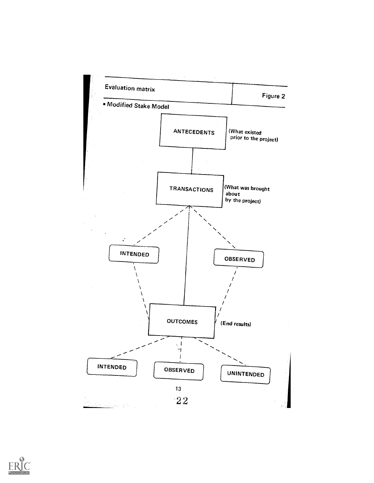

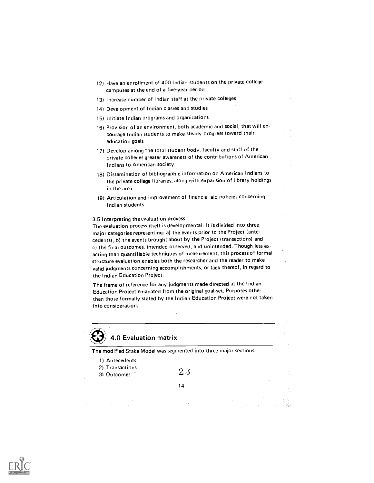- 12) Have an enrollment of 400 Indian students on the private college campuses at the end of a five-year period
- 13) Increase number of Indian staff at the private colleges
- 14) Development of Indian classes and studies
- 15) Initiate Indian programs and organizations
- 16) Provision of an environment, both academic and social, that will encourage Indian students to make steady progress toward their education goals
- 17) Develop among the total student body, faculty and staff of the private colleges greater awareness of the contributions of American Indians to American society
- 18) Dissemination of bibliographic information on American Indians to the private college libraries, along with expansion of library holdings in the area
- 19) Articulation and improvement of financial aid policies concerning Indian students

#### 3.5 Interpreting the evaluation process

The evaluation process itself is developmental. It is divided into three major categories representing: a) the events prior to the Project (antecedents), b) the events brought about by the Project (transactions) and c) the final outcomes, intended observed, and unintended. Though less exacting than quantifiable techniques of measurement, this process of formal structure evaluation enables both the researcher and the reader to make valid judgments concerning accomplishments, or lack thereof, in regard to the Indian Education Project.

The frame of reference for any judgments made directed at the Indian Education Project emanated from the original goal-set. Purposes other than those formally stated by the Indian Education Project were not taken into consideration.

# 4.0 Evaluation matrix

The modified Stake Model was segmented into three major sections.

| 1) Antecedents<br>2) Transactions<br>31 Outcomes | 2.3 |  |  |
|--------------------------------------------------|-----|--|--|
|                                                  | 14  |  |  |
| ٠                                                |     |  |  |

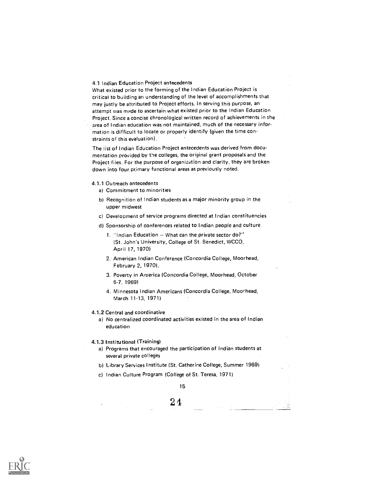#### 4.1 Indian Education Project antecedents

What existed prior to the forming of the Indian Education Project is critical to building an understanding of the level of accomplishments that may justly be attributed to Project efforts. In serving this purpose, an attempt was made to ascertain what existed prior to the Indian Education Project. Since a concise chronological written record of achievements in the area of Indian education was not maintained, much of the necessary information is difficult to locate or properly identify (given the time constraints of this evaluation).

The list of Indian Education Project antecedents was derived from documentation provided by the colleges, the original grant proposals and the Project files. For the purpose of organization and clarity, they are broken down into four primary functional areas as previously noted.

#### 4.1.1 Outreach antecedents

- a) Commitment to minorities
- b) Recognition of Indian students as a major minority group in the upper midwest
- c) Development of service programs directed at Indian constituencies
- d) Sponsorship of conferences related to Indian people and culture
	- 1. "Indian Education  $-$  What can the private sector do?" (St. John's University, College of St. Benedict, WCCO, April 17, 1970)
	- 2. American Indian Conference (Concordia College, Moorhead, February 2, 1970).
	- 3. Poverty in America (Concordia College, Moorhead, October 6-7, 1969)
	- 4. Minnesota Indian Americans (Concordia College, Moorhead, March 11-13, 1971)

#### 4.1.2 Central and coordinative

a) No centralized coordinated activities existed in the area of Indian education

#### 4.1.3 Institutional (Training)

- a) Programs that encouraged the participation of Indian students at several private colleges
- b) Library Services Institute (St. Catherine College, Summer 1969)
- c) Indian Culture Program (College of St. Teresa, 1971)

15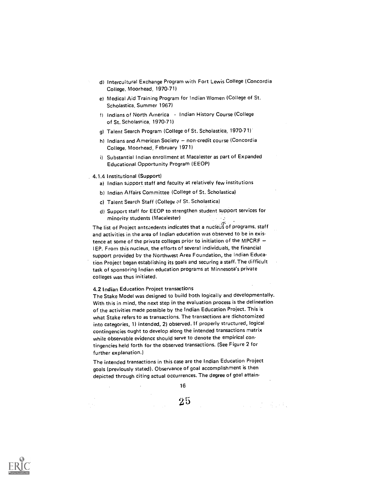- d) Intercultural Exchange Program with Fort Lewis College (Concordia College, Moorhead, 1970-71)
- e) Medical Aid Training Program for Indian Women (College of St. Scholastica, Summer 1967)
- f) Indians of North America Indian History Course (College of St. Scholastica, 1970-71)
- g) Talent Search Program (College of St. Scholastica, 1970.71)
- h) Indians and American Society non-credit course (Concordia College, Moorhead, February 1971)
- i) Substantial Indian enrollment at Macalester as part of Expanded Educational Opportunity Program (EEOP)

#### 4.1.4 Institutional (Support)

- a) Indian support staff and faculty at relatively few institutions
- b) Indian Affairs Committee (College of St. Scholastica)
- c) Talent Search Staff (College of St. Scholastica)
- d) Support staff for EEOP to strengthen student support services for minority students (Macalester)

The list of Project antecedents indicates that a nucleus of programs, staff and activities in the area of Indian education was observed to be in existence at some of the private colleges prior to initiation of the MPCRF IEP. From this nucleus, the efforts of several individuals, the financial support provided by the Northwest Area Foundation, the Indian Education Project began establishing its goals and securing a staff. The difficult task of sponsoring Indian education programs at Minnesota's private colleges was thus initiated.

#### 4.2 Indian Education Project transactions

The Stake Model was designed to build both logically and developmentally. With this in mind, the next step in the evaluation process is the delineation of the activities made possible by the Indian Education Project. This is what Stake refers to as transactions. The transactions are dichotomized into categories, 1) intended, 2) observed. If properly structured, logical contingencies ought to develop along the intended transactions matrix while observable evidence should serve to denote the empirical contingencies held forth for the observed transactions. (See Figure 2 for further explanation.)

The intended transactions in this case are the Indian Education Project goals (previously stated). Observance of goal accomplishment is then depicted through citing actual occurrences. The degree of goal attain-

16

2 5

 $\mathcal{L}_{\text{max}} = \mathcal{L}_{\text{max}} = \mathcal{L}_{\text{max}}$ 

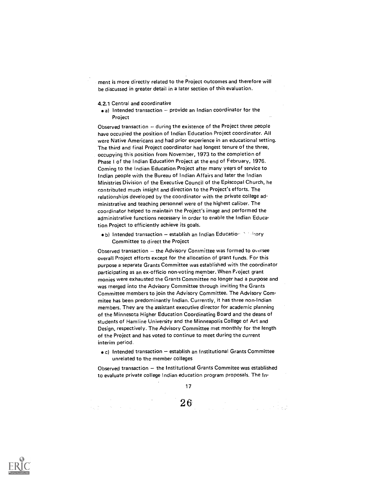ment is more directly related to the Project outcomes and therefore will be discussed in greater detail in a later section of this evaluation.

4.2.1 Central and coordinative

 $\bullet$  a) Intended transaction  $-$  provide an Indian coordinator for the Project

Observed transaction - during the existence of the Project three people have occupied the position of Indian Education Project coordinator. All were Native Americans and had prior experience in an educational setting. The third and final Project coordinator had longest tenure of the three, occupying this position from November, 1973 to the completion of Phase I of the Indian Education Project at the end of February, 1976. Coming to the Indian Education Project after many years of service to Indian people with the Bureau of Indian Affairs and later the Indian Ministries Division of the Executive Council of the Episcopal Church, he contributed much insight and direction to the Project's efforts. The relationships developed by the coordinator with the private college administrative and teaching personnel were of the highest caliber. The coordinator helped to maintain the Project's image and performed the administrative functions necessary in order to enable the Indian Education Project to efficiently achieve its goals.

- $\bullet$  b) Intended transaction establish an Indian Education in theory Committee to direct the Project
- Observed transaction  $-$  the Advisory Committee was formed to oversee overall Project efforts except for the allocation of grant funds. For this purpose a separate Grants Committee was established with the coordinator participating as an ex-officio non-voting member. When Project grant monies were exhausted the Grants Committee no longer had a purpose and was merged into the Advisory Committee through inviting the Grants Committee members to join the Advisory Committee. The Advisory Commitee has been predominantly Indian. Currently, it has three non-Indian members. They are the assistant executive director for academic planning of the Minnesota Higher Education Coordinating Board and the deans of students of Hemline University and the Minneapolis College of Art and Design, respectively. The Advisory Committee met monthly for the length of the Project and has voted to continue to meet during the current interim period.
	- c) Intended transaction establish an Institutional Grants Committee unrelated to the member colleges

Observed transaction  $-$  the Institutional Grants Commitee was established to evaluate private college Indian education program proposals. The In-



**化学** (1980年) (1980年)

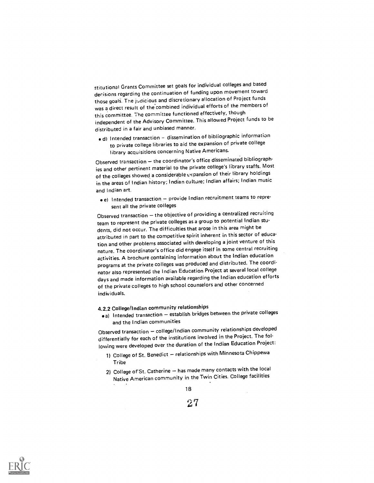stitutional Grants Committee set goals for individual colleges and based derisions regarding the continuation of funding upon movement toward those goals. The judicious and discretionary allocation of Project funds was a direct result of the'combined individual efforts of the members of this committee. 7he committee functioned effectively, though independent of the Advisory Committee. This allowed Project funds to be distributed in a fair and unbiased manner.

 $\bullet$  d) Intended transaction - dissemination of bibliographic information to private college libraries to aid the expansion of private college library acquisitions concerning Native Americans.

Observed transaction  $-$  the coordinator's office disseminated bibliograph ies and other pertinent material to the private college's library staffs. Most of the colleges showed a considerable expansion of their library holdings in the areas of Indian history; Indian cultare; Indian affairs; Indian music and Indian art.

e) Intended transaction - provide Indian recruitment teams to represent all the private colleges

Observed transaction  $-$  the objective of providing a centralized recruiting team to represent the private colleges as a group to potential Indian students, did not occur. The difficulties that arose in this area might be attributed in part to the competitive spirit inherent in this sector of education and other problems associated with developing a joint venture of this nature. The coordinator's office did engage itself in some central recruiting activities. A brochure containing information about the Indian education programs at the private colleges was produced and distributed. The coordinator also represented the Indian Education Project at several local college days and made information available regarding the Indian education efforts of the private colleges to high school counselors and other concerned individuals.

4.2.2 College/Indian community relationships

 $\bullet$ a) Intended transaction  $-$  establish bridges between the private colleges and the Indian communities

Observed transaction - college/Indian community relationships developed differentially for each of the institutions involved in the Project. The following were developed over the duration of the Indian Education Project:

- 1) College of St. Benedict relationships with Minnesota Chippewa Tribe
- 2) College of St. Catherine has made many contacts with the local Native American community in the Twin Cities. College facilities

18

 $27\,$ 

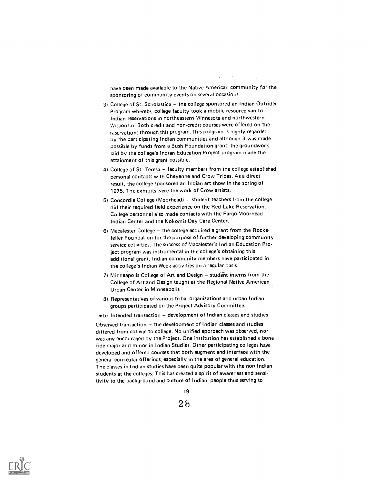nave been made available to the Native American community for the sponsoring of community events on several occasions.

- 3) College of St. Scholastica the college sponsored an Indian Outrider Program whereby college faculty took a mobile resource van to Indian reservations in northeastern Minnesota and northwestern Wisconsin. Both credit and non-credit courses were offered on the reservations through this program. This program is highly regarded by the participating Indian communities and although it was made possible by funds from a Bush Foundation grant, the groundwork laid by the college's Indian Education Project program made the attainment of this grant possible.
- 4) College of St. Teresa faculty members from the college established personal contacts with Cheyenne and Crow Tribes. As a direct result, the college sponsored an Indian art show in the spring of 1975. The exhibits were the work of Crow artists.
- 5) Concordia College (Moorhead) student teachers from the college did their required field experience on the Red Lake Reservation. College personnel also made contacts with the Fargo-Moorhead Indian Center and the Nokomis Day Care Center.
- $6)$  Macalester College  $-$  the college acquired a grant from the Rockefeller Foundation for the purpose of further developing community service activities. The success of Macalester's Indian Education Project program was instrumental in the college's obtaining this additional grant. Indian community members have participated in the college's Indian Week activities on a regular basis.
- $7)$  Minneapolis College of Art and Design  $-$  student interns from the College of Art and Design taught at the Regional Native American Urban Center in Minneapolis
- 8) Representatives of various tribal organizations and urban Indian groups participated on the Project Advisory Committee.
- $\bullet$  b) Intended transaction  $-$  development of Indian classes and studies

Observed transaction  $-$  the development of Indian classes and studies differed from college to college. No unified approach was observed, nor was any encouraged by the Project. One institution has established a bona fide major and minor in Indian Studies. Other participating colleges have developed and offered courses that both augment and interface with the general curricular offerings, especially in the area of general education. The classes in Indian studies have been quite popular with the non-Indian students at the colleges. This has created a spirit of awareness and sensitivity to the background and culture of Indian people thus serving to



<sup>2 8</sup>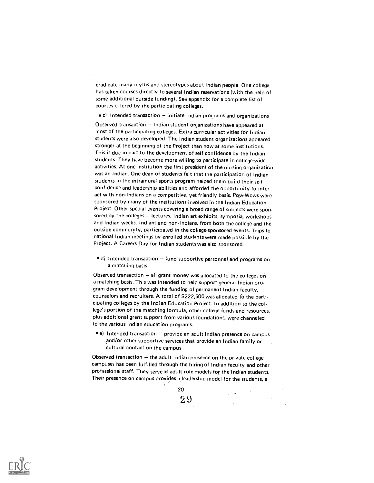eradicate many myths and stereotypes about Indian people. One college has taken courses directly to several Indian reservations (with the help of some additional outside funding). See appendix for a complete list of courses offered by the participating colleges.

 $\bullet$  c) Intended transaction – initiate Indian programs and organizations

Observed transaction  $-$  Indian student organizations have appeared at most of the participating colleges. Extra-curricular activities for Indian students were also developed. The Indian student organizations appeared stronger at the beginning of the Project than now at some institutions. This is due in part to the development of self confidence by the Indian students. They have become more willing to participate in college-wide activities. At one institution the first president of the nursing organization was an Indian. One dean of students felt that the participation of Indian students in the intramural sports program helped them build their self confidence and leadership abilities and afforded the opportunity to interact with non-Indians on a competitive, yet friendly basis. Pow:Wows were sponsored by many of the institutions involved in the Indian Education Project. Other special events covering a broad range of subjects were sponsored by the colleges - lectures, Indian art exhibits, symposia, workshops and Indian weeks. Indians and non-Indians, from both the college and the outside community, participated in the college-sponsored events. Trips to national Indian meetings by enrolled students were made possible by the Project. A Careers Day for Indian students was also sponsored.

 $\bullet$  d) Intended transaction  $-$  fund supportive personnel and programs on a matching basis

Observed transaction  $-$  all grant money was allocated to the colleges on a matching basis. This was intended to help support general Indian program development through the funding of permanent Indian faculty, counselors and recruiters. A total of S222,500 was allocated to the participating colleges by the Indian Education Project. In addition to the college's portion of the matching formula, other college funds and resources, plus additional grant support from various foundations, were channeled to the various Indian education programs.

 $\bullet$  e) Intended transaction - provide an adult Indian presence on campus and/or other supportive services that provide an Indian family or cultural contact on the campus

Observed transaction  $-$  the adult Indian presence on the private college campuses has been fulfilled through the hiring of Indian faculty and other professional staff. They serve as adult role models for the'Indian students. Their presence on campus provides a leadership model for the students, a



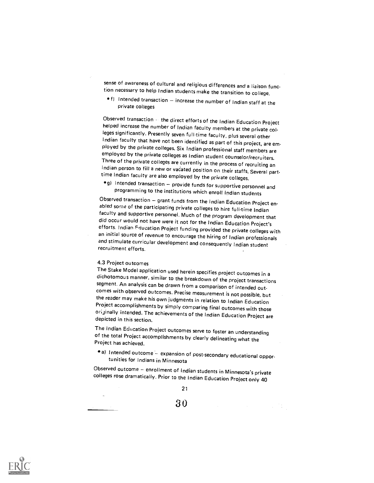sense of awareness of cultural and religious differences and a liaison function necessary to help Indian students make the transition to college.

 $\bullet$  f) Intended transaction  $-$  increase the number of Indian staff at the private colleges

Observed transaction - the direct efforts of the Indian Education Project helped increase the number of Indian faculty members at the private col- leges significantly. Presently seven full-time faculty, plus several other ployed by the private colleges. Six Indian professional staff members are employed by the private colleges as Indian student counselor/recruiters.<br>Three of the private colleges are currently in the process of recruiting an Indian person to fill a new or vacated position on their staffs. Several part-<br>time Indian faculty are also employed by the private colleges.

q) Intended transaction  $-$  provide funds for supportive personnel and programming to the institutions which enroll Indian students<br>Observed transaction  $-$  grant funds from the Indian Education Project en-

abled some of the participating private colleges to hire full-time Indian<br>faculty and supportive personnel. Much of the program development that did occur would not have were it not for the Indian Education Project's<br>efforts. Indian Education Project funding provided the private colleges with<br>an initial source of revenue to encourage the hiring of Indian profession

## 4.3 Project outcomes

 $\ddot{\phantom{a}}$ 

The Stake Model application used herein specifies project outcomes in a segment. An analysis can be drawn from a comparison of intended out-<br>comes with observed outcomes. Precise measurement is not possible, but<br>the reader may make his own judgments in relation to Indian Education Project accomplishments by simply comparing final outcomes with those originally intended. The achievements of the Indian Education Project are depicted in this section.

The Indian Education Project outcomes serve to foster an understanding of the total Project accomplishments by clearly delineating what the Project has achieved.

• a) Intended outcome – expansion of post-secondary educational oppor-<br>tunities for Indians in Minnesota

Observed outcome – enrollment of Indian students in Minnesota's private colleges rose dramatically. Prior to the Indian Education Project only 40

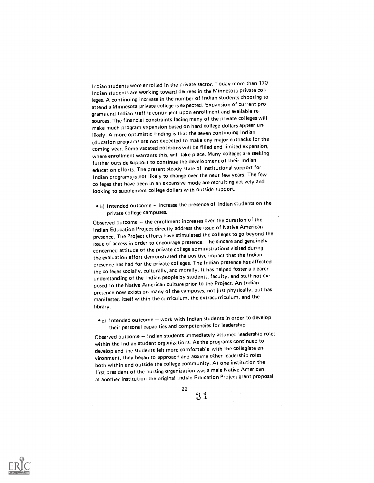I ndian students were enrolled in the private sector. Today more than 170 Indian students are working toward degrees in the Minnesota private col. leges. A continuing increase in the number of Indian students choosing to attend a Minnesota private college is expected. Expansion of current pro grams and Indian staff is contingent upon enrollment and available resources. The financial constraints facing many of the private colleges will make much program expansion based on hard college dollars appear un. likely. A more optimistic finding is that the seven continuing Indian education programs are not expected to make any major cutbacks for the coming year. Some vacated positions will be filled and limited expansion, where enrollment warrants this, will take place. Many colleges are seeking further outside support to continue the development of their Indian education efforts. The present steady state of institutional support for Indian programs.is not likely to change over the next few years. The few colleges that have been in an expansive mode are recruiting actively and looking to supplement college dollars with outside support.

 $\bullet$ b) Intended outcome - increase the presence of Indian students on the private college campuses.

Observed outcome - the enrollment increases over the duration of the Indian Education Project directly address the issue of Native American presence. The Project efforts have stimulated the colleges to go beyond the issue of access in order to encourage presence. The sincere and genuinely copcerned attitude of the private college administrations visited during the evaluation effort demonstrated the positive impact that the Indian presence has had for the private colleges. The Indian presence has affected the colleges socially, culturally, and morally. It has helped foster a clearer understanding of the Indian people by students, faculty, and staff not exposed to the Native American culture prior to the Project. An Indian presence now exists on many of the campuses, not just physically, but has manifested itself within the curriculum, the extracurriculum, and the library.

 $\bullet$ c) Intended outcome  $-$  work with Indian students in order to develop their personal capacities and competencies for leadership

Observed outcome -- Indian students immediately assumed leadership roles within the Indian student organizations. As the programs continued to develop and the students felt more comfortable with the collegiate environment, they began to approach and assume other leadership roles both within and outside the college community. At one institution the first president of the nursing organization was a male Native American; at another institution the original Indian Education Project grant proposal



 $31 \,$ 

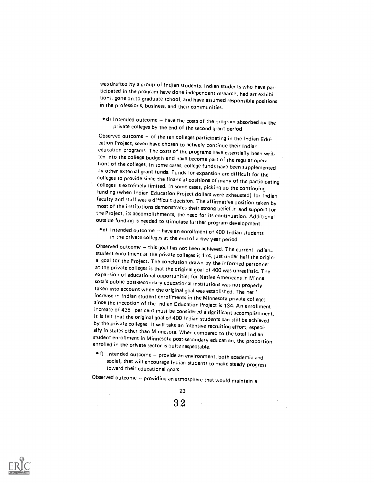was drafted by a group of Indian students. Indian students who have participated in the program have done independent research, had art exhibitions, gone on to graduate school, and have assumed responsible positions in the professions, business, and their communities.

 $\bullet$  d) Intended outcome - have the costs of the program absorbed by the private colleges by the end of the second grant period

Observed outcome - of the ten colleges participating in the Indian Education Project, seven have chosen to actively continue their Indian education programs. The costs of the programs have essentially been writ-<br>ten into the college budgets and have become part of the regular operations of the colleges. In some cases, college funds have been supplemented by other external grant funds. Funds for expansion are difficult for the colleges to provide since the financial positions of many of the participating colleges is extremely limited. In some cases, picking up the continuing<br>funding (when Indian Education Project dollars were exhausted) for Indian faculty and staff was a difficult decision. The affirmative position taken by<br>most of the institutions demonstrates their strong belief in and support for the Project, its accomplishments, the need for its continuation. Additional outside funding is needed to stimulate further program development.

e) Intended outcome -- have an enrollment of <sup>400</sup> Indian students in the private colleges at the end of a five year period

Observed outcome - this goal has not been achieved. The current Indian..<br>student enrollment at the private colleges is 174, just under half the original goal for the Project. The conclusion drawn by the informed personnel<br>at the private colleges is that the original goal of 400 was unrealistic. The expansion of educational opportunities for Native Americans in Minnesota's public post-secondary educational institutions was not properly taken into account when the original goal was established. The net i<br>increase in Indian student enrollments in the Minnesota private colleges since the inception of the Indian Education Project is 134. An enrollment<br>increase of 435 per cent must be considered a significant accomplishment.<br>It is felt that the original goal of 400 Indian students can still be ach

toward their educational goals.

Observed outcome  $\sim$  providing an atmosphere that would maintain a

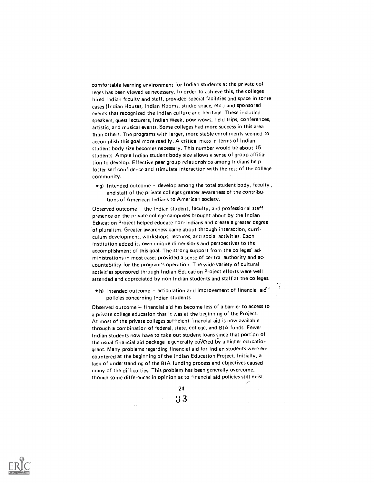comfortable learning environment for Indian students at the private col leges has been viewed as necessary. In order to achieve this, the colleges hired Indian faculty ancl staff, provided special facilities and space in some cases (Indian Houses, Indian Rooms, studio space, etc.) and sponsored events that recognized the Indian culture and heritage. These included speakers, guest lecturers, Indian Week, pow.wows, field trips, conferences, artistic, and musical events. Some colleges had more success in this area than others. The programs with larger, more stable enrollments seemed to accomplish this goal more readily. A critical mass in terms of Indian student body size becomes necessary. This number would be about 15 students. Ample Indian student body size allows a sense of group affiliation to develop. Effective peer group relationships among Indians help foster self-confidence and stimulate interaction with the rest of the college community.

 $\bullet$ g) Intended outcome - develop among the total student body, faculty, and staff of the private colleges greater awareness of the contributions of American Indians to American society.

Observed outcome  $-$  the Indian student, faculty, and professional staff presence on the private college campuses brought about by the Indian Education Project helped educate non-Indians and create a greater degree 'of pluralism. Greater awareness came about through interaction, curriculum development, workshops, lectures, and social activities. Each institution added its own unique dimensions and perspectives to the accomplishment of this goal. The strong support from the colleges' administrations in most cases provided a sense of central authority and accountability for the program's operation. The wide variety of cultural activities sponsored through Indian Education Project efforts were well attended and appreciated by non.Indian students and staff at the colleges.

 $\bullet$  h) Intended outcome  $-$  articulation and improvement of financial aid ' policies concerning Indian students

Observed outcome  $\div$  financial aid has become less of a barrier to access to a private college education that it was at the beginning of the Project. At most of the private colleges sufficient financial aid is now available through a combination of federal, state, college, and BIA funds. Fewer Indian students now have to take out student loans since that portion of the usual financial aid package is generally covered by a higher education grant. Many problems regarding financial aid for Indian students were encountered at the beginning of the Indian Education Project. Initially, a lack of understanding of the BIA funding process and cbjectives caused many of the difficulties. This problem has been generally overcome, . though some differences in opinion as to financial aid policies still exist.

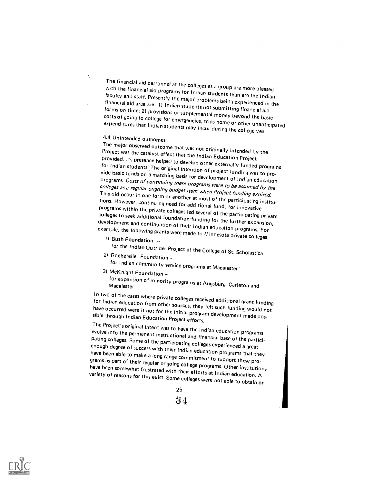The financial aid personnel at the colleges as a group are more pleased<br>with the financial aid programs for Indian students than are the Indian<br>faculty and staff. Presently the major problems being experienced in the<br>finan costs of going to college for emergencies, trips home or other unanticipated expenditures that Indian students may incur during the college year.

## 4.4 Unintended outcomes

The major observed outcome that was not originally intended by the<br>Project was the catalyst effect that the Indian Education Project provided. Its presence helped to develop other externally funded programs<br>for Indian students. The original intention of project funding was to pro-<br>vide basic funds on a matching basis for development of Indian education<br> colleges to seek additional foundation funding for the further expansion,<br>development and continuation of their Indian education programs. For<br>example, the following grants were made to Minnesota private colleges:<br>1) Bush

- for the Indian Outrider Project at the College of St. Scholastica 21 Rockefeller Foundation
- for Indian community service programs at Macalester 3) McKnight Foundation for expansion of minority programs at Augsburg, Carleton and

In two of the cases where private colleges received additional grant funding<br>for Indian education from other sources, they felt such funding would not<br>have occurred were it not for the initial program development made poshave occurred were it not for the initial program development made pos-<br>sible through Indian Education Project efforts.<br>The Project's original intent was to have the Indian education programs

evolve into the permanent instructional and financial base of the partici-<br>pating colleges. Some of the participating colleges experienced a great<br>enough degree of success with their Indian education programs that they<br>hav

25

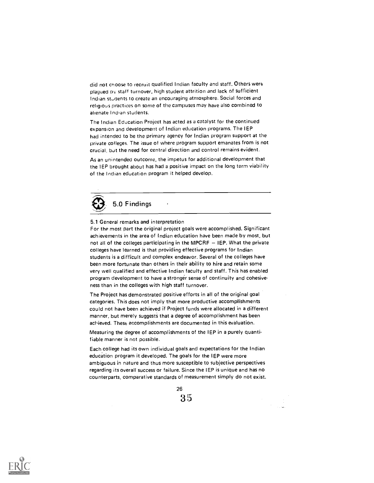did not choose to recruit qualified Indian faculty and staff. Others were plagued nv staff turnover, high student attrition and lack of sufficient Indian students to create an encouraging atmosphere. Social forces and religious practices on some of the campuses may have also combined to alienate Indian students.

The Indian Education Project has acted as a catalyst for the continued expansion and development of Indian education programs. The IEP had intended to be the primary agency for Indian program support at the private colleges. The issue of where program support emanates from is not crucial, but the need for central direction and control remains evident.

As an unintended outcome, the impetus for additional development that the IEP brought about has had a positive impact on the long term viability of the Indian education program it helped develop.



#### 5.1 General remarks and interpretation

For the most part the original project goals were accomplished. Significant achievements in the area of Indian education have been made by most, but not all of the colleges participating in the MPCRF  $-$  IEP. What the private colleges have learned is that providing effective programs for Indian students is a difficult and complex endeavor. Several of the colleges have been more fortunate than others in their ability to hire and retain some very well qualified and effective Indian faculty and staff. This has enabled program development to have a stronger sense of continuity and cohesiveness than in the colleges with high staff turnover.

The Project has demonstrated positive efforts in all of the original goal categories. This does not imply that more productive accomplishments could not have been achieved if Project funds were allocated in a different manner, but merely suggests that a degree of accomplishment has been achieved. These accomplishments are documented in this evaluation.

Measuring the degree of accomplishments of the IEP in a purely quantifiable manner is not possible.

Each.college had its own individual goals and expectations for the Indian education program it developed. The goals for the IEP were more ambiguous in nature and thus more susceptible to subjective perspectives regarding its overall success or failure. Since the IEP is unique and has no counterparts, comparative standards of measurement simply do not exist.

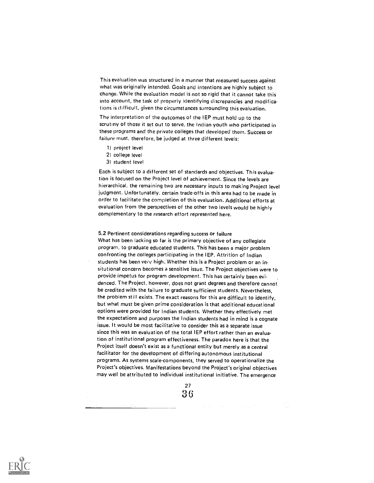This evaluation was structured in a manner that measured success against what was originally intended, Goals and intentions are highly subject to change. While the evaluation model is not so rigid that it cannot take this into account, the task of properly identifying discrepancies and modifica. tions is difficult, given the circumstances surrounding this evaluation.

The interpretation of the outcomes of the IEP must hold up to the scrutiny of those it set out to serve, the Indian youth who participated in these programs and the private colleges that developed them. Success or failure must, therefore, be judged at three different levels:

- 1) project level
- 2) college level
- 3) student level

Each is subject to a different set of standards and objectives. This evalua. tion is focused on the Project level of achievement. Since the levels are hierarchical, the remaining two are necessary inputs to making Project level judgment. Unfortunately, certain trade-offs in this area had to be made in order to facilitate the completion of this evaluation. Additional efforts at evaluation from the perspectives of the other two levels would be highly complementary to the research effort represented here.

5.2 Pertinent considerations regarding success or failure What has been lacking so far is the primary objective of any collegiate program, to graduate educated students, This has been a major problem confronting the colleges participating in the lEP. Attrition of Indian students has been very high. Whether this is a Project problem or an insitutional concern becomes a sensitive issue. The Project objectives were to provide impetus for program development. This has certainly been evi. denced. The Project, however, does not grant degrees and therefore cannot be credited with the failure to graduate sufficient students. Nevertheless, the problem still exists. The exact reasons for this are difficult to identify, but what must be given prime consideration is that additional educational options were provided for Indian students. Whether they effectively met the expectations and purposes the Indian students had in mind is a cognate issue. It would be most facilitative to consider this as a separate issue since this was an evaluation of the total IEP effort rather than an evaluation of institutional program effectiveness. The paradox here is that the Project itself doesn't exist as a functional entity but merely as a central facilitator for the development of differing autonomous institutional programs. As systems scale.components, they served to operationalize the Project's objectives. Manifestations beyond the Project's original objectives may well be attributed to individual institutional initiative. The emergence



 $\Delta \phi$  and  $\phi$  is the set of the set of the set of  $\phi$  . The set of  $\phi$ 

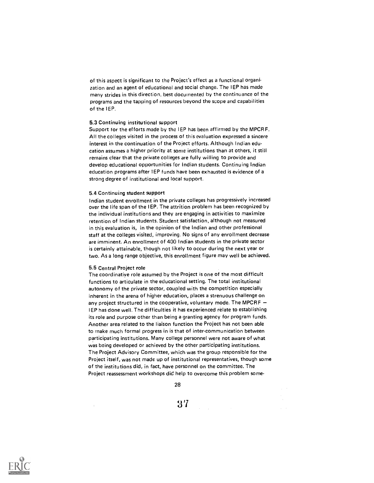of this aspect is significant to the Project's effect as a functional organi. zation and an agent of educational and social change. The IEP has made many strides in this direction, best documented by the continuance of the programs and the tapping of resources beyond the scope and capabilities of the IEP.

#### 5.3 Continuing institutional support

Support for the efforts made by the IEP has been affirmed by the MPCRF. All the colleges visited in the process of this evaluation expressed a sincere interest in the continuation of the Project efforts. Although Indian education assumes a higher priority at some institutions than at others, it still remains clear that the private colleges are fully willing to provide and develop educational opportunities for Indian students. Continuing Indian education programs after IEP funds have been exhausted is evidence of a strong degree of institutional and local support.

#### 5.4 Continuing student support

Indian student enrollment in the private colleges has progressively increased over the life span of the IEP. The attrition problem has been recognized by the individual institutions and they are engaging in activities to maximize retention of Indian students. Student satisfaction, although not measured in this evaluation is, in the opinion of the Indian and other professional staff at the colleges visited, improving. No signs of any enrollment decrease are imminent. An enrollment of 400 Indian students in the private sector is certainly attainable, though not likely to occur during the next year or two. As a long range objective, this enrollment figure may well be achieved.

#### 5.5 Central Project role

 $\mathcal{L}$ 

The coordinative role assumed by the Project is one of the most difficult functions to articulate in the educational setting. The total institutional autonomy of the private sector, coupled with the competition especially inherent in the arena of higher education, places a strenuous challenge on any project structured in the cooperative, voluntary mode. The MPCRF  $-$ IEP has done well. The difficulties it has experienced relate to establishing its role and purpose other than being a granting agency for program funds. Another area related to the liaison function the Project has not been able to make much formal progress in is that of inter-communication between participating institutions. Many college personnel were not aware of what was being developed or achieved by the other participating institutions. The Project Advisory Committee, which was the group responsible for the Project itself, was not made up of institutional representatives, though some of the institutions did, in fact, have personnel on the committee. The Project reassessment workshops did help to overcome this problem some-

28

 $37$  and  $\sim$ 

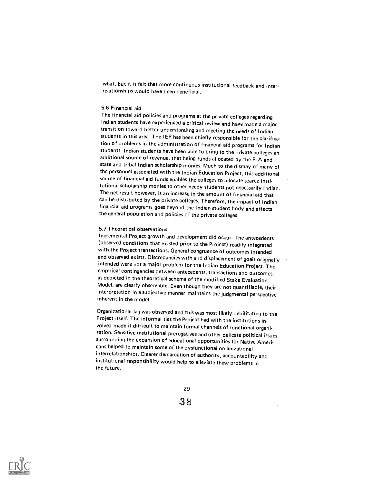what, but it is felt that more continuous institutional feedback and interrelationships would have been beneficial.

## 5.6 Financial aid

The financial aid policies and programs at the private colleges regarding Indian students have experienced a critical review and have made a major transition toward better understanding and meeting the needs of Indian students in this area. The IEP has been chiefly responsible for the clarifica . tion of problems in the administration of financial aid programs for Indian students. Indian students have been able to bring to the private colleges an additional source of revenue, that being funds allocated by the BIA and state and tribal Indian scholarship monies. Much to the dismay of many of the personnel associated with the Indian Education Project, this additional source of financial aid funds enables the colleges to allocate scarce institutional scholarship monies to other needy students not necessarily Indian. The net result however, is an increase in the amount of financial aid that can be distributed by the private colleges. Therefore, the impact of Indian financial aid programs goes beyond the Indian student body and affects the general population and policies of the private colleges.

### 5.7 Theoretical observations

Incremental Project growth and development did occur. The antecedents<br>(observed conditions that existed prior to the Project) readily integrated with the Project transactions. General congruence of outcomes intended and observed exists. Discrepancies with and displacement of goals originally intended were not a major problem for the Indian Education Project. The empirical contingencies between antecedents, transactions and outcomes, as depicted in the theoretical schema of the modified Stake Evaluation Model, are clearly observable. Even though they are not quantifiable, their interpretation in a subjective manner maintains the judgmental perspective inherent in the model

Organizational lag was observed and this was most likely debilitating to the Project itself. The informal ties the Project had with the institutions in-<br>volved made it difficult to maintain formal channels of functional organization. Sensitive institutional prerogatives and other delicate political issues<br>surrounding the expansion of educational opportunities for Native Americans helped to maintain some of the dysfunctional organizational interrelationships. Clearer demarcation of authority, accountability and institutional responsibility would help to alleviate these problems in the future.



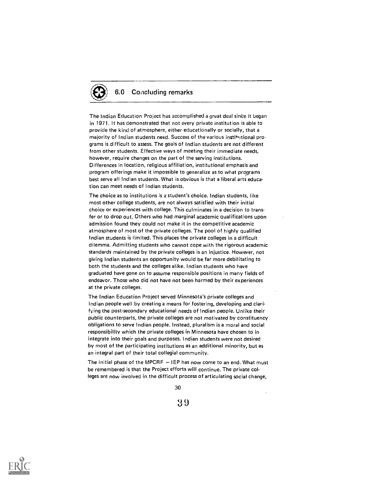# 6.0 Concluding remarks

The Indian Education Project has accomplished a great deal since it began in 1971. It has demonstrated that not every private institution is able to provide the kind of atmosphere, either educationally or socially, that a majority of Indian students need. Success of the various institutional programs is difficult to assess. The goals of Indian students are not different from other students. Effective ways of meeting their immediate needs, however, require changes on the part of the serving institutions. Differences in location, religious affiliation, institutional emphasis and program offerings make it impossible to generalize as to what programs best serve all Indian students. What is obvious is that a liberal arts education can meet needs of Indian students.

The choice as to institutions is a student's choice. Indian students, like most other college students, are not always satisfied with their initial choice or experiences with college. This culminates in a decision to trans . fer or to drop out. Others who had marginal academic qualifications upon admission found they could not make it in the competitive academic atmosphere of most of the private colleges. The poof of highly qualified Indian students is limited. This places the private colleges in a difficult dilemma. Admitting students who cannot cope with the rigorous academic standards maintained by the private colleges is an injustice. However, not giving Indian students an opportunity would be far more debilitating to both the students and the colleges alike. Indian students who have graduated have gone on to assume responsible positions in many fields of endeavor. Those who did not have not been harmed by their experiences at the private colleges.

The Indian Education Project served Minnesota's private colleges and Indian people well by creating a means for fostering, developing and clarifying the post-secondary educational needs of Indian people. Unlike their public counterparts, the private colleges are not motivated by constituency obligations to serve Indian people. Instead, pluralism is a moral and social responsibility which the private colleges in Minnesota have chosen to in integrate into their goals and purposes. Indian students were not desired by most of the participating institutions as an additional minority, but as an integral part of their total collegial community.

The initial phase of the MPCRF  $-$  IEP has now come to an end. What must be remembered is that the Project efforts will continue. The private colleges are now involved in the difficult process of articulating social change,

30

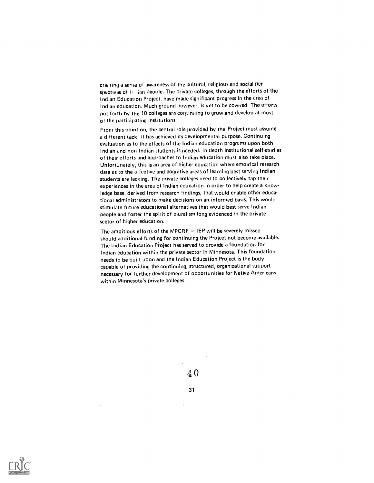creating a sense of awareness of the cultural, religious and social perspectives of  $I_1$  ian people. The private colleges, through the efforts of the Indian Education Project, have made significant progress in the area of Indian education. Much ground however, is yet to be covered. The efforts put forth by the 10 colleges are continuing to grow and develop at most of the participating institutions.

From this point on, the central role provided by the Project must assume a different tack. It has achieved its developmental purpose. Continuing evaluation as to the effects of the Indian education programs upon both ,Indian and non.Indian students is needed. In.clepth institutional self.studies of their efforts and approaches to Indian education must also take place. Unfortunately, this is an area of higher education where empirical research data as to the affective and cognitive areas of learning best serving Indian students are lacking. The private colleges need to collectively tap their experiences in the area of Indian education in order to help create a knowledge base, derived from research findings, that would enable other educational administrators to make decisions on an informed basis. This would stimulate future educational alternatives that would best serve Indian people and foster the spirit of pluralism long evidenced in the private sector of higher education.

The ambitious efforts of the MPCRF  $-$  IEP will be severely missed should additional funding for continuing the Project not become available. The Indian Education Project has served to provide a foundation for Indian education within the private sector in Minnesota. This foundation needs to be built upon and the Indian Education Project is the body capable of providing the continuing, structured, organizational support necessary for further development of opportunities for Native Americans within Minnesota's private colleges.



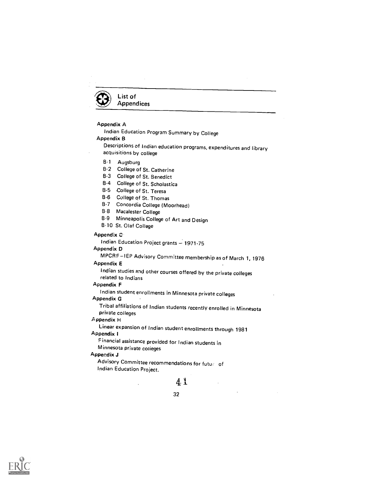

# Appendix A

Indian Education Program Summary by College Appendix B

Descriptions of Indian education programs, expenditures and library acquisitions by college

B1 Augsburg

8.2 College of St. Catherine

B3 College of St. Benedict

B4 College of St. Scholastica

B.5 College of St. Teresa

B.6 College of St. Thomas

B7 Concordia College (Moorhead)

B-8 Macalester College

B.9 Minneapolis College of Art and Design

B1O St. Olaf College

# Appendix C

Indian Education Project grants - 1971-75

# Appendix D

MPCRF-IEP Advisory Committee membership as of March 1, 1976

# Appendix E

Indian studies and other courses offered by the private colleges related to Indians

# Appendix F

Indian student enrollments in Minnesota private colleges Appendix G

Tribal affiliations of Indian students recently enrolled in Minnesota private colleges

# ppendix H

Linear expansion of Indian student enrollments through 1981 Appendix 1

Financial assistance provided for Indian students in Minnesota private colieges

# Appendix J

Advisory Committee recommendations for futuri of Indian Education Project.

# $4.1$

 $\mathcal{L}_{\mathcal{A}}$ 

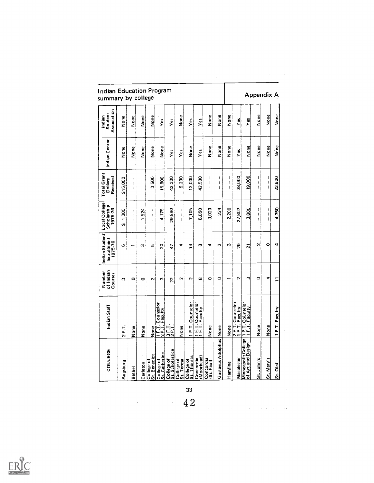| <b>Indian Education Program</b><br>summary by college |                                        |                      |           |                            |                                    |                                                                                                                                                                                                                                                                                                                     |                          | Appendix A               |                                    |                                |                        |                        |                                    |                                           |                                   |                                  |                |
|-------------------------------------------------------|----------------------------------------|----------------------|-----------|----------------------------|------------------------------------|---------------------------------------------------------------------------------------------------------------------------------------------------------------------------------------------------------------------------------------------------------------------------------------------------------------------|--------------------------|--------------------------|------------------------------------|--------------------------------|------------------------|------------------------|------------------------------------|-------------------------------------------|-----------------------------------|----------------------------------|----------------|
| Association<br>Student<br>Indian                      | None                                   | None                 | None      | None                       | $Y$ es                             | Yes                                                                                                                                                                                                                                                                                                                 | None                     | Yes                      | Υés                                | None                           | None                   | None                   | $Y_{\text{ES}}$                    | Ϋ́β                                       | None                              | None                             | None           |
| Indian Center                                         | None                                   | None                 | None<br>2 | None                       | None                               | Yes                                                                                                                                                                                                                                                                                                                 | Ϋ́                       | None                     | Yes                                | None                           | None                   | None                   | Υeς                                | None                                      | None                              | None                             | None           |
| <b>Total Grant</b><br>Received<br><b>Dollars</b>      | \$15,000                               | ţ<br>ŧ               | ł<br>ì.   | 3.500                      | 15,800                             | 42,300                                                                                                                                                                                                                                                                                                              | 9.200                    | 13,000                   | 42.500                             | $\mathbf{I}$<br>$\pmb{ }$<br>ł | ł<br>I<br>I            | I<br>I<br>$\mathbf{I}$ | 38,000                             | 19,000                                    | ı<br>ł<br>ŧ                       | ı<br>I<br>$\mathsf{I}$           | 23,600         |
| Scholarship<br>1975-76                                | 1,300<br>U)                            | $\ddot{\phantom{0}}$ | 524       | ţ<br>ţ                     | 4.175                              | 29,890                                                                                                                                                                                                                                                                                                              | f,<br>j<br>$\mathbf{I}$  | 7,105                    | 8,850                              | 3,020                          | 224                    | 2,200                  | 27,807                             | 3,800                                     | ı<br>$\mathbf{I}$<br>$\mathbf{I}$ | ŧ<br>$\mathbf{I}$<br>$\mathsf I$ | 4,750          |
| Indian Student Local College<br>Enrollment<br>1975-76 | ဖ                                      |                      | ო         | Ю                          | 20                                 | $\overline{47}$                                                                                                                                                                                                                                                                                                     | ᢦ                        | $\overline{2}$           | ∞                                  | 4                              | m                      | m                      | 53                                 | $\overline{N}$                            | $\mathbf{\sim}$                   | o                                | ¢              |
| of Indian<br>Number<br>Courses                        | $\mathbf{c}$                           | 0                    | $\circ$   | Z                          | 5                                  | $\tilde{\mathcal{L}}$                                                                                                                                                                                                                                                                                               | N!                       | $\sim$                   | $\infty$                           | $\circ$                        | $\circ$                |                        | $\mathbf{\tilde{c}}$               | C                                         | $\circ$                           | 4                                | Ξ              |
| Indian Staff                                          | $\overline{P}$<br>$\mathbf{\tilde{c}}$ | None                 | None      | None                       | 1 F.T. Counselor<br>2 P.T. Faculty | $\frac{1}{2}$ $\frac{1}{2}$ $\frac{1}{2}$ $\frac{1}{2}$ $\frac{1}{2}$ $\frac{1}{2}$ $\frac{1}{2}$ $\frac{1}{2}$ $\frac{1}{2}$ $\frac{1}{2}$ $\frac{1}{2}$ $\frac{1}{2}$ $\frac{1}{2}$ $\frac{1}{2}$ $\frac{1}{2}$ $\frac{1}{2}$ $\frac{1}{2}$ $\frac{1}{2}$ $\frac{1}{2}$ $\frac{1}{2}$ $\frac{1}{2}$ $\frac{1}{2}$ | None                     | 1 F.T. Counselor         | 1 F.T. Counselor<br>1 F.T. Faculty | None                           |                        | None                   | 2 F.T. Counselor<br>1 F.T. Faculty | P.T. Counselor<br>F.T. Faculty<br>Faculty | ne<br>None                        | None                             | 1 P.T. Faculty |
| COLLEGE                                               | Augsburg                               | Bethel               | Carleton  | St. Benedict<br>College of | St. Catherine<br>College of        | St. Scholastica<br>College of                                                                                                                                                                                                                                                                                       | College of<br>St. Teresa | St. Thomas<br>College of | (Moorhead)<br>Concordia            | Concordia<br>(St. Paul)        | Gustavus Adolphus None | Hamline                | Macalester                         | Minneapolis College<br>of Art and Design  | St. John's                        | St. Mary's                       | St. Olaf       |

 $\bar{\gamma}$ 

 $\label{eq:2.1} \frac{1}{\sqrt{2}}\frac{d\mu}{d\mu} = \frac{1}{2}\frac{1}{\sqrt{2}}\frac{d\mu}{d\mu}.$ 

 $\hat{\mathcal{A}}$ 



33  $\overline{42}$ 

 $\mathcal{L}^{\text{max}}_{\text{max}}$ 

 $\mathcal{A}$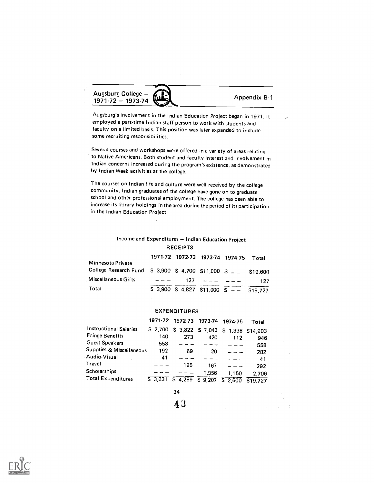Augsburg Conege – 2014

Augsburg's involvement in the Indian Education Project began in 1971. It employed a part-time Indian staff person to work with students and faculty on a limited basis. This position was later expanded to include some recruiting responsibilities.

Augsburg College

Several courses and workshops were offered in a variety of areas relating to Native Americans. Both student and faculty interest and involvement in Indian concerns increased during the program's existence, as demonstrated by Indian Week activities at the college.

The courses on Indian life and culture were well received by the college community. Indian graduates of the college have gone on to graduate school and other professional employment. The college has been able to increase its library holdings in the area during the period of its participation in the Indian Education Project.

 $\ddot{\phantom{a}}$ 

# Income and Expenditures - Indian Education Project **RECEIPTS**

|                                                             |               | 1971-72 1972-73 1973-74 1974-75 Total       |                |     |
|-------------------------------------------------------------|---------------|---------------------------------------------|----------------|-----|
| Minnesota Private                                           |               |                                             |                |     |
| College Research Fund S 3,900 S 4,700 S11,000 S _ _ S19,600 |               |                                             |                |     |
| Miscellaneous Gifts                                         | $\frac{1}{2}$ |                                             | $127$ $-- ---$ | 127 |
| Total                                                       |               | $$3,900$ $$4,827$ $$11,000$ $$ - - $19,727$ |                |     |

# **EXPENDITURES**

|                               |          | 1971-72 1972-73 1973-74 1974-75 |         |                                     | Total    |  |
|-------------------------------|----------|---------------------------------|---------|-------------------------------------|----------|--|
| <b>Instructional Salaries</b> | \$ 2.700 |                                 |         | \$ 3,822 \$ 7,043 \$ 1,338 \$14,903 |          |  |
| <b>Fringe Benefits</b>        | 140      | 273                             | 420     | 112                                 | 946      |  |
| <b>Guest Speakers</b>         | 558      |                                 |         |                                     | 558      |  |
| Supplies & Miscellaneous      | 192      | 69                              | 20      |                                     | 282      |  |
| Audio-Visual                  | 41       |                                 |         |                                     | 41       |  |
| Travel                        |          | 125                             | 167     |                                     | 292      |  |
| <b>Scholarships</b>           |          |                                 | 1,556   | 1.150                               | 2.706    |  |
| <b>Total Expenditures</b>     | S 3.631  | 4,289                           | S 9.207 | \$2.600                             | \$19.727 |  |

34

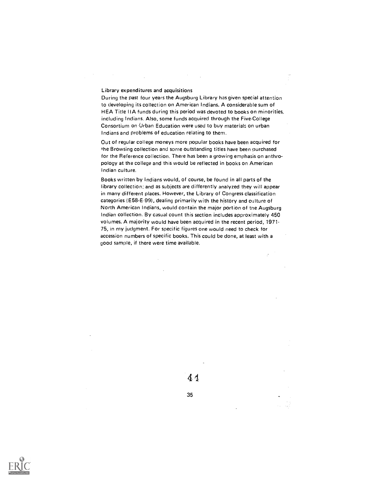# Library expenditures and acquisitions

During the past four years the Augsburg Library has given special attention to developing its collection on American Indians. A considerable sum of HEA Title IIA funds during this period was devoted to books on minorities, including Indians. Also, some funds acquired through the Five-College Consortium on Urban Education were used to buy materials on urban Indians and problems of education relating to them.

Out of regular college moneys more popular books have been acquired for the Browsing collection and some outstanding titles have been purchased for the Reference collection. There has been a growing emphasis on anthropology at the college and this would be reflected in books on American Indian culture.

Books written by Indians would, of course, be found in all parts of the library collection; and as subjects are differently analyzed they will appear in many different places. However, the Library of Congress classification categories (E58-E-99), dealing primarily with the history and culture of North American Indians, would contain the major portion of the Augsburg Indian collection. By casual count this section includes approximately 450 volumes. A majority would have been acquired in the recent period, 1971-75, in my judgment. For specific figures one would need to check for accession numbers of specific books. This could be done, at least with a good sample, if there were time available.

44

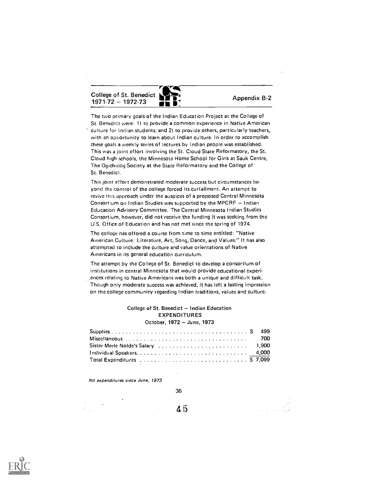College of St. Benedict Extra 2.1. Benedict **CONSTRUCTER SERVICES**<br>1971-72 - 1972-73

The two primary goals of the Indian Education Project at the College of St. Benedict were: 1) to provide a common experience in Native American culture for Indian students; and 2) to provide others, particularly teachers, with an opportunity to learn about Indian culture. In order to accomplish these goals a weekly series of lectures by Indian people was established. This was a joint effort involving the St. Cloud State Reformatory, the St. Cloud high schools, the Minnesota Home School for Girls at Sauk Centre, The Ogichidog Society at the State Reformatory and the College of St. Benedict.

This joint effort demonstrated moderate success but circumstances beyond the control of the college forced its curtailment. An attempt to revive this approach under the auspices of a proposed Central Minnesota Consortium on Indian Studies was supported by the MPCRF  $-$  Indian Education Advisory Committee. The Central Minnesota Indian Studies Consortium, however, did not receive the funding it was seeking from the U.S. Office of Education and has not met since the spring of 1974.

The college nas offered a course from time to time entitled: "Native American Culture: Literature, Art, Song, Dance, and Values." It has also attempted to include the culture and value orientations of Native Americans in its general education curriculum.

The attempt by the College of St. Benedict to develop a consortium of institutions in central Minnesota that would provide educational experi. ,ences relating to Native Americans was both a unique and difficult task. Though only moderate success was achieved, it has left a lasting impression on the college community regarding Indian traditions, values and culture.

# College of St. Benedict - Indian Education EXPENDITURES October, 1972 - June, 1973

|                                                                                                           | 700 |
|-----------------------------------------------------------------------------------------------------------|-----|
|                                                                                                           |     |
|                                                                                                           |     |
| Total Expenditures $\ldots \ldots \ldots \ldots \ldots \ldots \ldots \ldots \ldots \ldots \ldots$ S 7,099 |     |

No expenditures since June, 1973

 $\mathbb{Z}$ 

45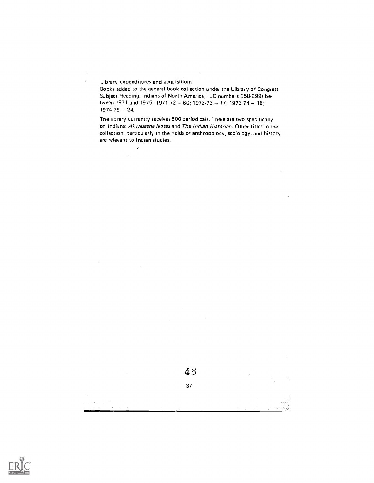Library expenditures and acquisitions

 $\vec{\rho}$  $\alpha_{\rm c}$ 

Books added to the general book collection under the Library of Congress Subject Heading, Indians of North America, (LC numbers E58-E99) between 1971 and 1975: 1971-72 - 60; 1972-73 - 17; 1973-74 - 18;  $1974-75 - 24.$ 

The library currently receives 600 periodicals. There are two specifically on Indians: Akwesasne Notes and The Indian Historian. Other titles in the collection, particularly in the fields of anthropology, sociology, and history are relevant to Indian studies.



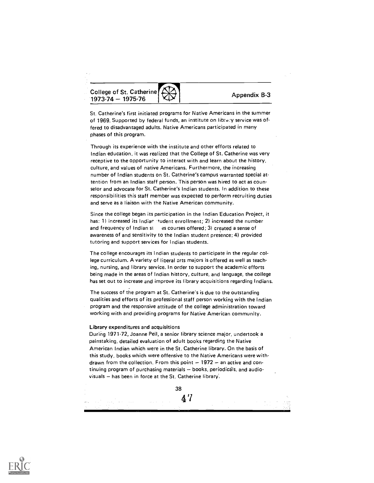College of St. Catherine  $1973-74 - 1975-76$ 

Appendix B-3

St. Catherine's first initiated programs for Native Americans in the summer of 1969. Supported by federal funds, an institute on library service was offered to disadvantaged adults. Native Americans participated in many phases of this program.

Through its experience with the institute and other efforts related to Indian education, it was realized that the College of St. Catherine was very receptive to the opportunity to interact with and learn about the history, culture, and values of native Americans. Furthermore, the increasing number of Indian students on St. Catherine's campus warranted special attention from an Indian staff person. This person was hired to act as counselor and advocate for St. Catherine's Indian students. In addition to these responsibilities this staff member was expected to perform recruiting duties and serve as a liaison with the Native American community.

Since the college began its participation in the Indian Education Project, it has: 1) increased its Indian itudent enrollment; 2) increased the number and frequency of Indian st es courses offered; 3) created a sense of awareness of and sensitivity to the Indian student presence; 4) provided tutoring and support services for Indian students.

The college encourages its Indian students to participate in the regular college curriculum. A variety of liberal arts majors is offered as well as teaching, nursing, and library service. In order to support the academic efforts being made in the areas of Indian history, culture, and language, the college has set out to increase and improve its library acquisitions regarding Indians.

The success of the program at St. Catherine's is due to the outstanding qualities and efforts of its professional staff person working with the Indian program and the responsive attitude of the college administration toward working with and providing programs for Native American community.

#### Library expenditures and acquisitions

During 1971-72, Joanne Peil, a senior library science major, undertook a painstaking, detailed evaluation of adult books regarding the Native American Indian which were in the St. Catherine library. On the basis of this study, books which were offensive to the Native Americans were withdrawn from the collection. From this point  $-1972 -$  an active and continuing program of purchasing materials - books, periodicals, and audiovisuals - has been in force at the St. Catherine library.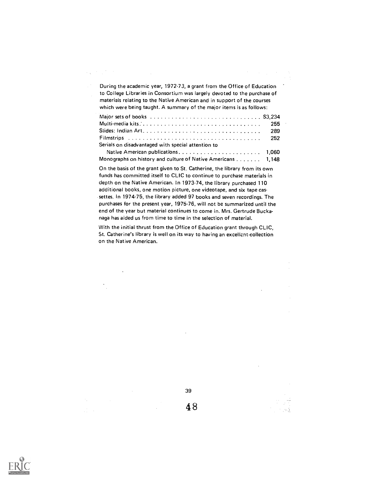During the academic year, 197273, a grant from the Office of Education to College Libraries in Consortium was largely devoted to the purchase of materials relating to the Native American and in support of the courses which were being taught. A summary of the major items is as follows:

 $\mathcal{L}_{\text{out}} = \mathcal{L}_{\text{out}} \mathcal{L}_{\text{out}}$ 

t.,

| Serials on disadvantaged with special attention to          |  |
|-------------------------------------------------------------|--|
|                                                             |  |
| Monographs on history and culture of Native Americans 1,148 |  |

On the basis of the grant given to St. Catherine, the library from its own funds has committed itself to CLIC to continue to purchase materials in depth on the Native American. In 1973-74, the library purchased 110 additional books, one motion picture, one videotape, and six tape cassettes. In 1974-75, the library added 97 books and seven recordings. The purchases for the present year, 1975-76, will not be summarized until the end of the year but material continues to come in. Mrs. Gertrude Buckanaga has aided us from time to time in the selection of material.

With the initial thrust from the Office of Education grant through CLIC, St. Catherine's library is well on its way to having an excellent.collection on the Native American.

39

4 8

re g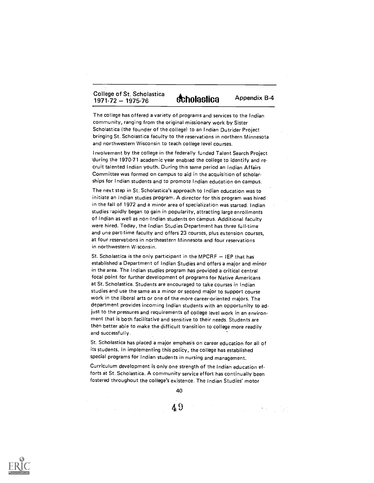# College of St. Scholastica<br>1971-72 - 1975-76<br> $\bullet$  $\frac{1}{2}$ <br>1971-72 - 1975-76 **ftholastica** Appendix B-4

The college has offered a variety of programs and services to the Indian community, ranging from the original missionary work by Sister Scholastica (the founder of the college) to an Indian Dutrider Project bringing St. Scholastica faculty to the reservations in northern Minnesota and northwestern Wisconsin to teach college level courses.

Involvement by the college in the federally funded Talent Search Project 'during the 197071 academic year enabled the college to identify and recruit talented Indian youth. During this same period an Indian Affairs Committee was formed on campus to aid in the acquisition of scholarships for Indian students and to promote Indian education on campus.

The next step in St. Scholastica's approach to Indian education was to initiate an Indian studies program. A director for this program was hired in the fall of 1972 and a minor area of specialization was started. Indian studies 7apidly began to gain in popularity, attracting large enrollments of Indian as well as non-Indian students on campus. Additional faculty were hired. Today, the Indian Studies Department has three full-time and une part-time faculty and offers 23 courses, plus extension courses, at four reservations in northeastern Minnesota and four reservations in northwestern Wisconsin.

St. Scholastica is the only participant in the MPCRF  $-$  IEP that has established a Department of Indian Studies and offers a major and minor in the area. The Indian studies program has provided a critical central focal point for further development of programs for Native Americans at St. Scholastica. Students are encouraged to take courses in Indian studies and use the same as a minor or second major to support course work in the liberal arts or one of the more career-oriented majors. The department provides incoming Indian students with an opportunity to adjust to the pressures and requirements of college level work in an environment that is both facilitative and sensitive to their needs. Students are then better able to make the difficult transition to college more readily and successfully.

St. Scholastica has placed a major emphasis on career education for all of its students. In implementing this policy, the college has established special programs for Indian students in nursing and management.

Curriculum development is only one strength of the Indian education efforts at St. Scholastica. A community service effort has continually been fostered throughout the college's existence. The Indian Studies' motor

40

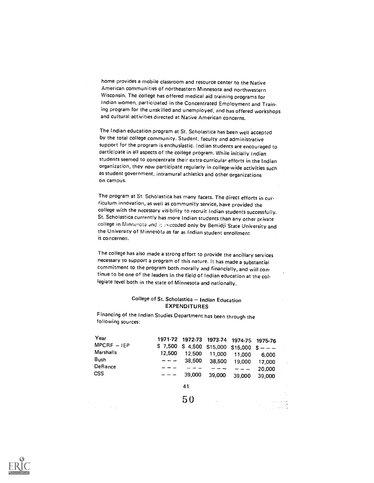home provides a mobile classroom and resource center to the Native American communities of northeastern Minnesota and northwestern Wisconsin. The college has offered medical aid training programs for Indian women, participated in the Concentrated Employment and Training program for the unskilled and unemployed, and has offered workshops and cultural activities directed at Native American concerns.

The Indian education program at St. Scholastica has been well accepted by the total college community. Student, faculty and administrative support for the program is enthusiastic. Indian students are encouraged to participate in all aspects of the college program. While initially Indian students seemed to concentrate their extra-curricular efforts in the Indian organization, they now participate regularly in college-wide activities such as student government, intramural athletics and other organizations on campus.

The program at St. Scholastica has many facets. The direct efforts in curriculum innovation, as well as community service, have provided the college with the necessary visibility to recruit Indian students successfully. St. Scholastica currently has more Indian students than any other private college in Minnesota and is exceeded only by Bemidji State University and the University of Minnesota as far as Indian student enrollment is concerned.

The college has also made a strong effort to provide the ancillary services necessary to support a program of this nature. It has made a substantial commitment to the program both morally and financially, and will continue to be one of the leaders in the field of Indian education at the collegiate level both in the state of Minnesota and nationally.

# College of St. Scholastica - Indian Education EXPENDITURES

Financing of the Indian Studies Department has been through the following sources:

| Year          |         | 1971-72 1972-73 1973-74 |          |          | 1974-75 1975-76 |         |
|---------------|---------|-------------------------|----------|----------|-----------------|---------|
| $MPCRF - IEP$ | \$7,500 | \$4,500                 | \$15,000 | \$15,000 | $S ---$         |         |
| Marshalls     | 12,500  | 12,500                  | 11,000   | 11,000   | 6,000           |         |
| Bush          |         | 38,500                  | 38,500   | 19,000   | 17,000          | $\cdot$ |
| DeRance       |         |                         |          |          | 20,000          |         |
| <b>CSS</b>    |         | 39,000                  | 39,000   | 39,000   | 39,000          |         |
|               |         | 41                      |          |          |                 |         |
|               |         | 50                      |          |          |                 | All Car |
| <b>COLLA</b>  |         |                         |          |          | 医心脏 网络大麻        | يخترت   |

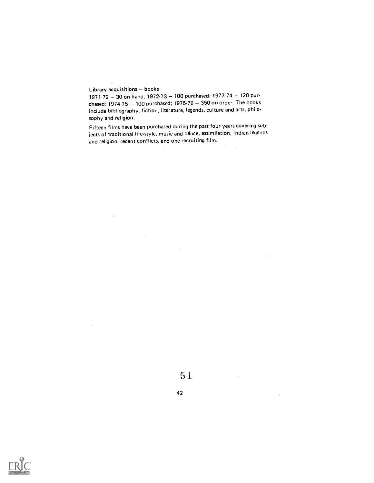# Library acquisitions  $-$  books

 $\overline{\phantom{a}}$ 

1971.72 - 30 on hand; 1972.73 - 100 purchased; 1973.74 - 120 purchased; 1974-75  $-$  100 purchased; 1975-76  $-$  350 on order. The books include bibliography, fiction, literature, legends, culture and arts, philosophy and religion.

Fifteen films have been purchased during the past four years covering subjects of traditional life-style, music and dance, assimilation, Indian legends and religion, recent conflicts, and one recruiting film.

 $\lambda$ 

 $\mathcal{L}_{\rm{in}}$ 



 $\sim$ 

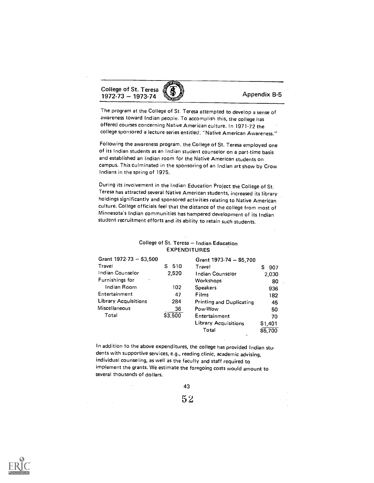College of St. Teresa  $1972.73 - 1973.74$   $\left(\frac{9}{2}\right)$  Appendix B-5

The program at the College of St. Teresa attempted to develop a sense of awareness toward Indian people. To accomplish this, the college has offered courses concerning Native American culture. In 1971-72 the college sponsored a lecture series entitled; "Native American Awareness."

Following the awareness program, the College of St. Teresa employed one of its Indian students as an Indian student counselor on a part-time basis and established an Indian room for the Native American students on campus. This culminated in the sponsoring of an Indian art show by Crow Indians in the spring of 1975.

During its involvement in the Indian Education Project the College of St. Teresa has attracted several Native American students, increased its library holdings significantly and sponsored activities relating to Native American culture. College officials feel that the distance of the college from most of Minnesota's Indian communities has hampered development of its Indian student recruitment efforts and its ability to retain such students.

# College of St. Teresa - Indian Education EXPENDITURES

| Grant 1972-73 - \$3,500     |          | Grant 1973-74 - \$5,700         |          |
|-----------------------------|----------|---------------------------------|----------|
| Travel                      | 510<br>s | Travel                          | s<br>907 |
| Indian Counselor            | 2.520    | Indian Counselor                | 2,030    |
| Furnishings for<br>٠        |          | Workshops                       | 80       |
| Indian Room                 | 102      | <b>Speakers</b>                 | 936      |
| Entertainment               | 47       | Films                           | 182      |
| <b>Library Acquisitions</b> | 284      | <b>Printing and Duplicating</b> | 45       |
| Miscellaneous               | 36       | Pow-Wow                         | 50       |
| Total                       | \$3,500  | Entertainment                   | 70       |
|                             |          | <b>Library Acquisitions</b>     | \$1,401  |
|                             |          | Total                           | \$5.700  |

In addition to the above expenditures, the college has provided Indian students with supportive services, e.g., reading clinic, academic advising, individual counseling, as well as the faculty and staff required to implement the grants. We estimate the foregoing costs would amount to several thousands of dollars.

43

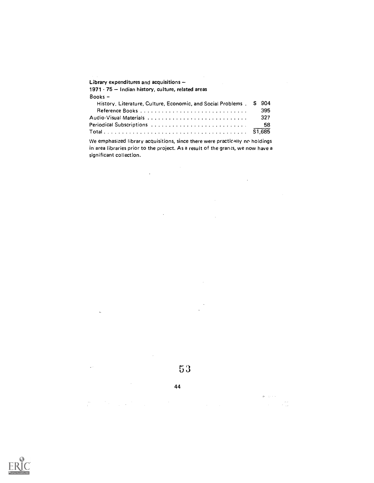| Library expenditures and acquisitions $-$<br>and the control of the con-                |           |  |
|-----------------------------------------------------------------------------------------|-----------|--|
| 1971 - 75 - Indian history, culture, related areas                                      |           |  |
| $Books -$                                                                               |           |  |
| History, Literature, Culture, Economic, and Social Problems,                            | 904<br>S. |  |
|                                                                                         | 395       |  |
|                                                                                         | 327       |  |
|                                                                                         | 58        |  |
|                                                                                         |           |  |
| tile omanisational library, considering a strong attacce constitution of the body trans |           |  |

We emphasized library acquisitions, since there were practicaiiy no holdings in area libraries prior to the project. As a result of the grants, we now have a significant collection.

 $\sim 10^{11}$ 

 $\Phi_{\rm c}$  and  $\phi_{\rm c}$ 

 $\label{eq:1} \begin{array}{l} \mathcal{O}(\mathcal{A})=\mathcal{O}(\mathcal{A})\left(\frac{\partial \mathcal{A}}{\partial \mathcal{A}}\right) \end{array}$ 

 $\mathcal{L}_{\text{max}}$ 

 $\mathcal{A}^{\mathcal{A}}$ 

 $\hat{\mathcal{A}}$ 

 $\Delta\phi$  and  $\phi$ 

 $\frac{1}{2} \frac{d\phi}{d\phi}$ 

 $\bar{z}$ 

53

44

 $\mathcal{A}^{\mathcal{A}}$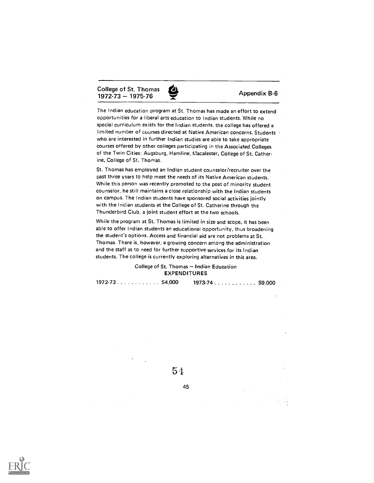College of St. Thomas  $1972-73 - 1975-76$  Appendix B-6



The Indian education program at St. Thomas has made an effort to extend opportunities for a liberal arts education to Indian students. While no special curriculum exists for the Indian students, the college has offered a limited number of courses directed at Native American concerns. Students who are interested in further Indian studies are able to take appropriate courses offered by other colleges participating in the Associated Colleges of the Twin Cities: Augsburg, Hemline, Macalester, College of St. Catherine, College of St. Thomas.

St. Thomas has employed an Indian student counselor/recruiter over the past three years to help meet the needs of its Native American students. While this person was recently promoted to the post of minority student counselor, he still maintains a close relationship with the Indian students on campus. The Indian students have sponsored social activities jointly with the Indian students at the College of St. Catherine through the Thunderbird Club, a joint student effort at the two schools.

While the program at St. Thomas is limited in size and scope, it has been able to offer Indian students an educational opportunity, thus broadening the student's options. Access and financial aid are not problems at St. Thomas. There is, however, a growing concern among the administration and the staff as to need for further supportive services for its Indian students. The college is currently exploring alternatives in this area.

# College of St. Thomas - Indian Education EXPENDITURES

| $1973.74$ \$9,000 |  |
|-------------------|--|
|-------------------|--|



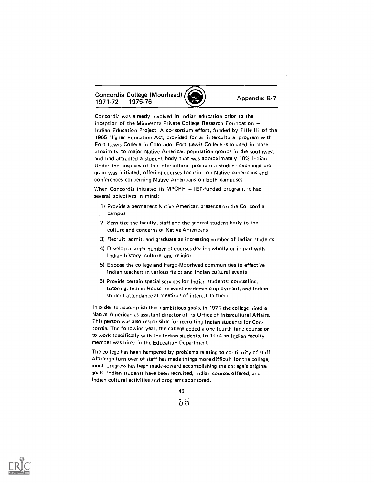Concordia College (Moorhead)  $\frac{1971-72-1975-76}{\sqrt{1971-72-1975-76}}$  Appendix B-7

Concordia was already involved in Indian education prior to the inception of the Minnesota Private College Research Foundation Indian Education Project. A consortium effort, funded by Title III of the 1965 Higher Education Act, provided for an intercultural program with Fort Lewis College in Colorado. Fort Lewis College is located in close proximity to major Native American population groups in the southwest and had attracted a student body that was approximately 10% Indian. Under the auspices of the intercultural program a student exchange program was initiated, offering courses focusing on Native Americans and conferences concerning Native Americans on both campuses.

a as a

When Concordia initiated its MPCRF  $-$  IEP-funded program, it had several objectives in mind:

- 1) Provide a permanent Native American presence on the Concordia campus
- 2) Sensitize the faculty, staff and the general student body to the culture and concerns of Native Americans
- 3) Recruit, admit, and graduate an increasing number of Indian students.
- 4) Develop a larger number of courses dealing wholly or in part with Indian history, culture, and religion
- 5) Expose the college and Fargo-Moorhead communities to effective Indian teachers in various fields and Indian cultural events
- 6) Provide certain special services for Indian students: counseling, tutoring, Indian House, relevant academic employment, and Indian student attendance at meetings of interest to them.

In order to accomplish these ambitious goals, in 1971 the college hired a Native American as assistant director of its Office of Intercultural Affairs. This person was also responsible for recruiting Indian students for Concordia. The following year, the college added a one-fourth time counselor to work specifically with the Indian students. In 1974 an Indian faculty member was hired in the Education Department.

The college has been hampered by problems relating to continuity of staff. Although turn-over of staff has made things more difficult for the college, much progress has heen made toward accomplishing the college's original goals. Indian students have been recruited, Indian courses offered, and Indian cultural activities and programs sponsored.

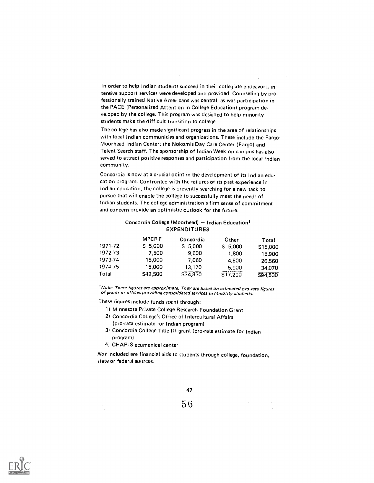In order to help Indian students succeed in their collegiate endeavors, intensive support services were developed and provided. Counseling by professionally trained Native Americans was central, as was participation in the PACE (Personalized Attention in College Education) program developed by the college. This program was designed to help minority students make the difficult transition to college.

 $\mathcal{L}(\mathcal{L}(\mathcal{A}))$  .

The college has also made significant progress in the area of relationships with local Indian communities and organizations. These include the Fargo-Moorhead Indian Center; the Nokomis Day Care Center (Fargo) and Talent Search staff. The sponsorship of Indian Week on campus has also served to attract positive responses and participation from the local Indian community.

Concordia is now at a crucial point in the development of its Indian education program. Confronted with the failures of its past experience in Indian education, the college is presently searching for a new tack to pursue that will enable the college to successfully meet the needs of Indian students. The college administration's firm sense of commitment and concern provide an optimistic outlook for the future.

# Concordia College (Moorhead) - Indian Education<sup>1</sup> EXPENDITURES

|         | <b>MPCRF</b> | Concordia | Other               | Total   |  |
|---------|--------------|-----------|---------------------|---------|--|
| 1971-72 | S 5,000      | S 5,000   | S 5,000             | S15,000 |  |
| 1972-73 | 7.500        | 9.600     | 1,800               | 18,900  |  |
| 1973.74 | 15,000       | 7.060     | 4,500               | 26,560  |  |
| 1974 75 | 15.000       | 13,170    | 5,900               | 34,070  |  |
| Total   | \$42,500     | S34,830   | S <sub>17,200</sub> | S94.530 |  |

Note: These figures are approximate. They are based on estimated pro-rata figures of grants or offices providing consolidated services to minority students.

These figures include funds spent through:

- 1) Minnesota Private College Research Foundation Grant
- 2) Concordia College's Office of Intercultural Affairs
- (pro-rata estimate for Indian program)
- 3) Concordia College Title III grant (pro-rata estimate for Indian program)
- 4) CHAR IS ecumenical center

Not included are financial aids to students through college, foundation, state or federal sources.

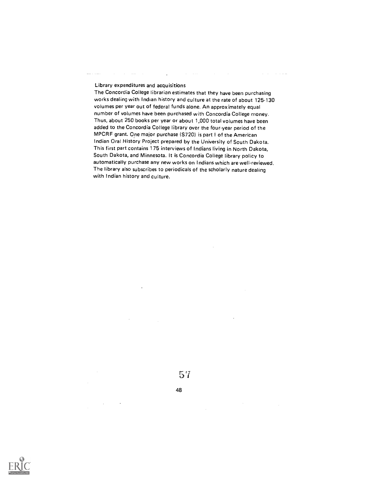Library expenditures and acquisitions

The Concordia College librarian estimates that they have been purchasing works dealing with Indian history and culture at the rate of about 125-130 volumes per year out of federal funds alone. An approximately equal number of volumes have been purchased with Concordia College money. Thus, about 250 books per year or about 1,000 total volumes have been added to the Concordia College library over the four-year period of the MPCRF grant. One major purchase (S720) is part I of the American Indian Oral History Project prepared by the University of South Dakota. This first part contains 175 interviews of Indians living in North Dakota, South Dakota, and Minnesota. It is Concordia College library policy to automatically purchase any new works on Indians which are well-reviewed. The library also subscribes to periodicals of the scholarly nature dealing with Indian history and culture.

57

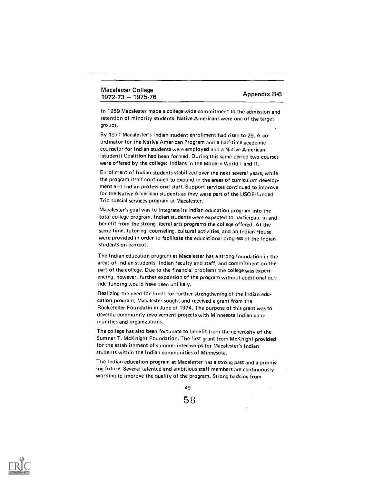# Macalester College matalistic College<br>1972-73 -- 1975-76 Appendix B-8

In 1969 Macalester made a college-wide commitment to the admission and retention of minority students. Native Americans were one of the target groups.

By 1971 Macalester's Indian student enrollment had risen to 29. A coordinator for the Native American Program and a half-time academic counselor for Indian students were employed and a Native American (student) Coalition had been formed. During this same period two courses were offered by the college: Indians in the Modern World I and II.

Enrollment of Indian students stabilized over the next several years, while the program itself continued to expand in the areas of curriculum development and Indian professional staff. Support services continued to improve for the Native American students as they were part of the USOE-funded Trio special services program at Macalester.

Macalester's goal was to integrate its Indian education program into the total college program. Indian students were expected to participate in and benefit from the strong liberal arts programs the college offered. At the same time, tutoring, counseling, cultural activities, and an Indian House were provided in order to facilitate the educational progress of the Indian students on campus.

The Indian education program at Macalester has a strong foundation in the areas of Indian students, Indian faculty and staff, and commitment on the part of the college. Due to the financial problems the college was experiencing, however, further expansion of the program without additional outside funding would have been unlikely.

Realizing the neea for funds for further strengthening of the Indian education program, Macalester sought and received a grant from the Rockefeller Foundatin in June of 1974. The purpose of this grant was to develop community involvement projects with Minnesota Indian com munities and organizations.

The college has also been fortunate to benefit from the generosity of the Sumner T. McKnight Foundation. The first grant from McKnight provided for the establishment of summer internships for Macalester's Indian students within the Indian communities of Minnesota.

The Indian education program at Macalester has a strong past and a promising future. Several talented and ambitious staff members are continuously working to improve the quality of the program. Strong backing from

49

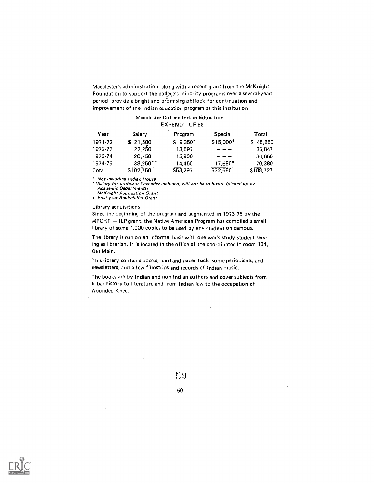Macalester's administration, along with a recent grant from the McKnight Foundation to support the college's minority programs over a several.years period, provide a bright and promising odtlook for continuation and improvement of the Indian education program at this institution.

and the same

### Macalester College Indian Education EXPENDITURES

| Year    | Salary                | Program                                 | <b>Special</b>                   | Total     |
|---------|-----------------------|-----------------------------------------|----------------------------------|-----------|
| 1971.72 | \$ 21,500             | $S$ 9.350 <sup><math>\cdot</math></sup> | S <sub>15,000</sub> <sup>t</sup> | \$45,850  |
| 1972-73 | 22,250                | 13.597                                  |                                  | 35,847    |
| 1973.74 | 20.750                | 15,900                                  |                                  | 36,650    |
| 1974-75 | $38,250$ <sup>*</sup> | 14.450                                  | 17,680 <sup>*</sup>              | 70,380    |
| Total   | \$102,750             | S53,297                                 | \$32,680                         | \$188,727 |

Not including Indian House

<u> Alban Alban (</u>1985), serikar pertama pertama pertama pertama pertama pertama pertama pertama pertama pertama per

'Salary for professor Cavender included, will not be in future (picked up by Academic Departments)

t McKnight Foundation Grant t First year Rockefeller Grant

#### Library acquisitions

Since the beginning of the program and augmented in 1973-75 by the MPCRF - IEP grant, the Native American Program has compiled a small library of some 1,000 copies to be used by any student on campus.

The library is run on an informal basis with one work-study student serving as librarian. It is located in the office of the coordinator in room 104, Old Main.

This library contains books, hard and paper back, some periodicals, and newsletters, and a few filmstrips and records of Indian music.

The books are by Indian and non-Indian authors and cover subjects from tribal history to literature and from Indian law to the occupation of Wounded Knee.

 $\sim$ 

 $\mathcal{L}$ 



50÷

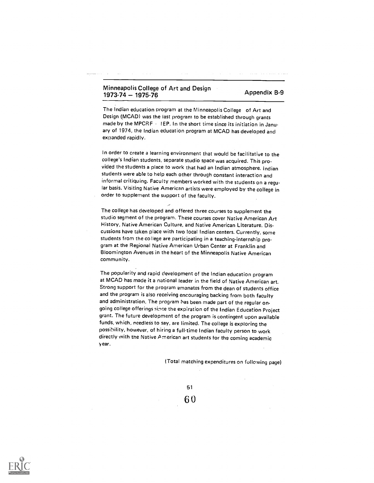# Minneapolis College of Art and Design  $1973.74 - 1975.76$  and Design  $\overline{a}$  Appendix B-9

The Indian education program at the Minneapolis College of Art and Design (MCAD) was the last program to be established through grants made by the MPCRF - IEP. In the short time since its initiation in January of 1974, the Indian education program at MCAD has developed and expanded rapidly.

In order to create a learning environment that would be facilitative to the college's Indian students, separate studio space was acquired. This provided the students a place to work that had an Indian atmosphere. Indian students were able to help each other through constant interaction and informal critiquing. Faculty members worked with the students on a regular basis. Visiting Native American artists were employed by the college in order to supplement the support of the faculty.

The college has developed and offered three courses to supplement the studio segment of the program. These courses cover Native American Art History, Native American Culture, and Native American Literature. Dis . cussions have taken place with two local Indian centers. Currently, some students from the college are participating in a teaching-internship program at the Regional Native American Urban Center at Franklin and Bloomington Avenues in the heart of the Minneapolis Native American community.

The popularity and rapid development of the Indian education program at MCAD has made it a national leader in the field of Native American art. Strong support for the program emanates from the dean of students office and the program is also receiving encouraging backing from both faculty and administration. The program has been made part of the regular ongoing college offerings since the expiration of the Indian Education Project grant. The future development of the program is contingent upon available funds, which, needless to say, are limited. The college is exploring the possihility, however, of hiring a full-time Indian faculty person to work directly with tne Native A merican art students tor the coming academic year.

51

6 0

(Total matching expenditures on following page)

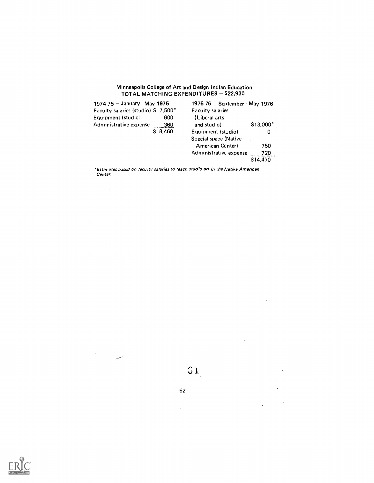# Minneapolis College of Art and Design Indian Education TOTAL MATCHING EXPENDITURES - \$22,930

ستفاد والأساس والأساريط الأدوار الأدوار

 $\sim$   $\sim$ 

 $\ddot{\phantom{0}}$ 

 $\hat{\mathcal{A}}$ 

 $\mathcal{A}(\mathcal{A})$  and  $\mathcal{A}(\mathcal{A})$  is a subset of  $\mathcal{A}(\mathcal{A})$  . In the  $\mathcal{A}(\mathcal{A})$ 

المناول والمستحسن والمستحسن

 $\sim 10$ 

 $\bar{\mathcal{A}}$ 

 $\hat{\boldsymbol{\beta}}$ 

| 1974-75 - January - May 1975       |         | 1975-76 - September - May 1976 |          |  |  |
|------------------------------------|---------|--------------------------------|----------|--|--|
| Faculty salaries (studio) S 7,500* |         | Faculty salaries               |          |  |  |
| Equipment (studio)                 | 600     | (Liberal arts                  |          |  |  |
| Administrative expense             | 360     | and studio)                    | \$13,000 |  |  |
|                                    | \$8,460 | Equipment (studio)             | 0        |  |  |
|                                    |         | Special space (Native          |          |  |  |
|                                    |         | American Center)               | 750      |  |  |
|                                    |         | Administrative expense         | 720      |  |  |
|                                    |         |                                | \$14,470 |  |  |

'Estimates based on faculty salaries to teach studio art in the Native American Center.



 $\sim$ 

52

 $\mathcal{L}^{\pm}$ 

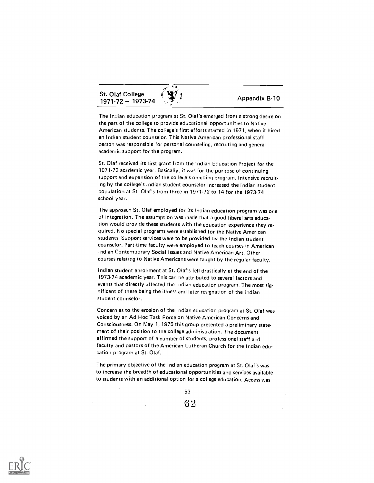St. Olaf College 1971-72 - 1973-74  $\frac{1}{2}$   $\frac{1}{2}$  Appendix B-10

The InJian education program at St. Olaf's emerged from a strong desire on the part of the college to provide educational opportunities to Native American students. The college's first efforts started in 1971, when it hired an Indian student counselor. This Native American professional staff person was responsible for personal counseling, recruiting and general academic support for the program.

St. Olaf received its first grant from the Indian Education Project for the 1971.72 academic year. Basically, it was for the purpose of continuing support and expansion of the college's on-going program. Intensive recruiting by the college's Indian student counselor increased the Indian student population at St. Olaf's from three in 1971-72 to 14 for the 1973-74 school year.

The approach St. Olaf employed for its Indian education program was one of integration. The assumption was made that a good liberal arts education would provide these students with the education experience they re quired. No special programs were established for the Native American students. Support services were to be provided by the Indian student counselor. Part time faculty were employed to teach courses in American Indian Contemporary Social Issues and Native American Art. Other courses relating to Native Americans were taught by the regular faculty.

Indian student enrollment at St. Olaf's fell drastically at the end of the 1973-74 academic year. This can be attributed to several factors and events that directly affected the Indian education program. The most significant of these being the illness and later resignation of the Indian student counselor.

Concern as to the erosion of the Indian education program at St. Olaf was voiced by an Ad Hoc Task Force on Native American Concerns and Consciousness. On May 1, 1975 this group presented a preliminary statement of their position to the college administration. The document affirmed the support of a number of students, professional staff and faculty and pastors of the American Lutheran Church for the Indian education program at St. Olaf.

The primary objective of the Indian education program at St. Olaf's was to increase the breadth of educational opportunities and services available to students with an additional option for a college education. Access was

53

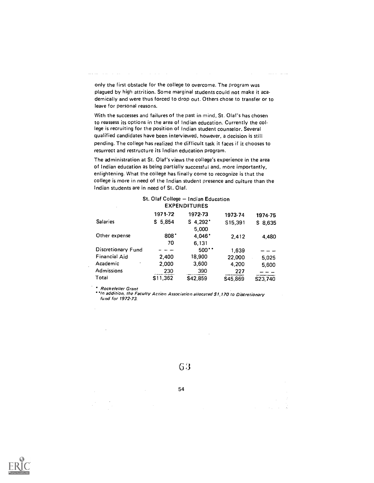$\mathcal{A}$  , and  $\mathcal{A}$  , and  $\mathcal{A}$  , and  $\mathcal{A}$  , and  $\mathcal{A}$  , and  $\mathcal{A}$ as a car

only the first obstacle for the college to overcome. The program was plagued by high attrition. Some marginal students could not make it academically and were thus forced to drop out. Others chose to transfer or to leave for personal reasons.

المتحدث المتحدث

With the successes and failures of the past in mind, St. Olaf's has chosen to reassess its options in the area of Indian education. Currently the col. lege is recruiting for the position of Indian student counselor. Several qualified candidates have been interviewed, however, a decision is still pending. The college has realized the difficult task it faces if it chooses to resurrect and restructure its Indian education program.

The administration at St. Olaf's views the college's experience in the area of Indian education as being partially successful and, more importantly, enlightening. What the college has finally come to recognize is that the college is more in need of the Indian student presence and culture than the Indian students are in need of St. Olaf.

| $\epsilon$         |          | <b>EXPENDITURES</b>  |          |          |  |
|--------------------|----------|----------------------|----------|----------|--|
|                    | 1971-72  | 1972-73              | 1973-74  | 1974-75  |  |
| <b>Salaries</b>    | \$5,854  | $S$ 4,292 $^{\circ}$ | S15,391  | \$8.635  |  |
|                    |          | 5,000                |          |          |  |
| Other expense      | $808*$   | $4.046*$             | 2.412    | 4.480    |  |
|                    | 70       | 6,131                |          |          |  |
| Discretionary Fund |          | 500                  | 1,639    |          |  |
| Financial Aid      | 2,400    | 18,900               | 22,000   | 5,025    |  |
| Academic           | 2,000    | 3,600                | 4,200    | 5,600    |  |
| Admissions         | 230      | 390                  | 227      |          |  |
| Total              | \$11,362 | \$42,859             | \$45,869 | \$23.740 |  |

# St. Olaf College - Indian Education

Rockefeller Grant

In addition, the Faculty Action Association allocated \$1,170 to Discretionary fund for 1972.73.

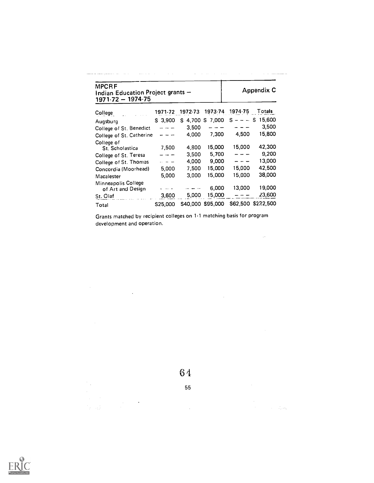| <b>MPCRF</b><br>Indian Education Project grants -<br>$1971.72 - 1974.75$ |           |         |                   |         | <b>Appendix C</b>  |
|--------------------------------------------------------------------------|-----------|---------|-------------------|---------|--------------------|
| College                                                                  | 1971-72   | 1972.73 | 1973.74           | 1974.75 | Totals             |
| Augsburg                                                                 | $S$ 3,900 |         | \$4,700 \$7,000   |         | $S = - - S$ 15,600 |
| College of St. Benedict                                                  |           | 3,500   |                   |         | 3.500              |
| College of St. Catherine                                                 |           | 4.000   | 7.300             | 4,500   | 15,800             |
| College of<br>St Scholastica                                             | 7,500     | 4,800   | 15,000            | 15,000  | 42,300             |
| College of St. Teresa                                                    |           | 3.500   | 5.700             |         | 9,200              |
| College of St. Thomas                                                    |           | 4,000   | 9,000             |         | 13,000             |
| Concordia (Moorhead)                                                     | 5,000     | 7,500   | 15,000            | 15,000  | 42,500             |
| Macalester                                                               | 5,000     | 3,000   | 15,000            | 15,000  | 38,000             |
| Minneapolis College<br>of Art and Design<br>St. Olaf                     | 3,600     | 5,000   | 6,000<br>15,000   | 13,000  | 19,000<br>23,600   |
|                                                                          | \$25,000  |         | \$40,000 \$95,000 |         | \$62,500 \$232,500 |
| Total                                                                    |           |         |                   |         |                    |

Grants matched by recipient colleges on 11 matching basis for program development and operation.

 $\label{eq:2.1} \frac{1}{\sqrt{2}}\sum_{i=1}^n\frac{1}{\sqrt{2}}\sum_{i=1}^n\frac{1}{\sqrt{2}}\sum_{i=1}^n\frac{1}{\sqrt{2}}\sum_{i=1}^n\frac{1}{\sqrt{2}}\sum_{i=1}^n\frac{1}{\sqrt{2}}\sum_{i=1}^n\frac{1}{\sqrt{2}}\sum_{i=1}^n\frac{1}{\sqrt{2}}\sum_{i=1}^n\frac{1}{\sqrt{2}}\sum_{i=1}^n\frac{1}{\sqrt{2}}\sum_{i=1}^n\frac{1}{\sqrt{2}}\sum_{i=1}^n\frac$ 

 $\mathcal{L}^{\text{max}}_{\text{max}}$ 

 $\label{eq:1} \begin{split} \mathcal{L}_{\text{max}}(\mathbf{r}) = \mathcal{L}_{\text{max}}(\mathbf{r}) \mathcal{L}_{\text{max}}(\mathbf{r}) \,, \end{split}$ 

6 4

 $\mathcal{L}^{\text{max}}_{\text{max}}$ 

55

 $\mathcal{A}^{\text{max}}_{\text{max}}$ 

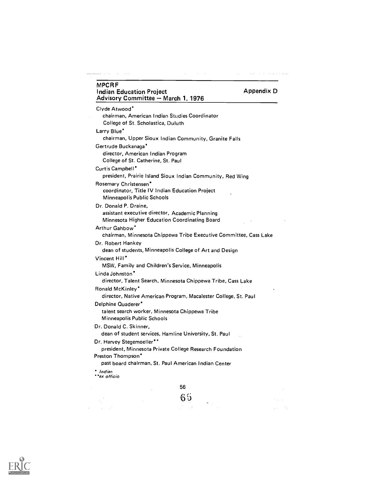| <b>MPCRF</b><br><b>Appendix D</b><br><b>Indian Education Project</b><br>Advisory Committee - March 1, 1976                |
|---------------------------------------------------------------------------------------------------------------------------|
| Clyde Atwood*<br>chairman, American Indian Studies Coordinator<br>College of St. Scholastica, Duluth                      |
| Larry Blue*<br>chairman, Upper Sioux Indian Community, Granite Falls                                                      |
| Gertrude Buckanaga*                                                                                                       |
| director, American Indian Program<br>College of St. Catherine, St. Paul                                                   |
| Curtis Campbell*                                                                                                          |
| president, Prairie Island Sioux Indian Community, Red Wing                                                                |
| Rosemary Christensen*<br>coordinator, Title IV Indian Education Project<br>Minneapolis Public Schools                     |
| Dr. Donald P. Draine,<br>assistant executive director, Academic Planning<br>Minnesota Higher Education Coordinating Board |
| Arthur Gahbow*<br>chairman, Minnesota Chippewa Tribe Executive Committee, Cass Lake                                       |
| Dr. Robert Hankey<br>dean of students, Minneapolis College of Art and Design                                              |
| Vincent Hill*<br>MSW, Family and Children's Service, Minneapolis                                                          |
| Linda Johnston <sup>*</sup><br>director, Talent Search, Minnesota Chippewa Tribe, Cass Lake                               |
| Ronald McKinley*<br>director, Native American Program, Macalester College, St. Paul                                       |
| Delphine Quaderer*<br>talent search worker, Minnesota Chippewa Tribe<br><b>Minneapolis Public Schools</b>                 |
| Dr. Donald C. Skinner,<br>dean of student services, Hamline University, St. Paul                                          |
| Dr. Harvey Stegemoeller**<br>president, Minnesota Private College Research Foundation                                     |
| Preston Thompson*<br>past board chairman, St. Paul American Indian Center                                                 |
| * Indian<br>**ex officio                                                                                                  |
| 56                                                                                                                        |



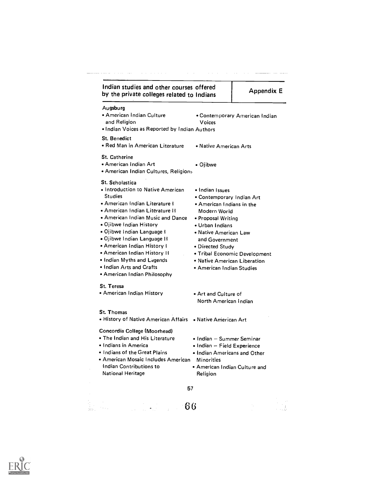| Augsburg<br>• American Indian Culture<br>and Religion<br>. Indian Voices as Reported by Indian Authors<br><b>St. Benedict</b>                                                                                                                                                                                                                                                                                                            | <b>Voices</b>                                                                                                                                                                                                                                                  | • Contemporary American Indian |
|------------------------------------------------------------------------------------------------------------------------------------------------------------------------------------------------------------------------------------------------------------------------------------------------------------------------------------------------------------------------------------------------------------------------------------------|----------------------------------------------------------------------------------------------------------------------------------------------------------------------------------------------------------------------------------------------------------------|--------------------------------|
| • Red Man in American Literature                                                                                                                                                                                                                                                                                                                                                                                                         | • Native American Arts                                                                                                                                                                                                                                         |                                |
| <b>St. Catherine</b><br>• American Indian Art<br>· American Indian Cultures, Religions                                                                                                                                                                                                                                                                                                                                                   | • Ojibwe                                                                                                                                                                                                                                                       |                                |
| <b>St. Scholastica</b><br>• Introduction to Native American<br><b>Studies</b><br>• American Indian Literature I<br>• American Indian Literature II<br>• American Indian Music and Dance<br>. Ojibwe Indian History<br>• Ojibwe Indian Language I<br>• Ojibwe Indian Language II<br>• American Indian History I<br>• American Indian History II<br>. Indian Myths and Legends<br>• Indian Arts and Crafts<br>. American Indian Philosophy | • Indian Issues<br>• Contemporary Indian Art<br>. American Indians in the<br>Modern World<br>• Proposal Writing<br>• Urban Indians<br>• Native American Law<br>and Government<br>• Directed Study<br>• Native American Liberation<br>• American Indian Studies | • Tribal Economic Development  |
| <b>St. Teresa</b><br>• American Indian History                                                                                                                                                                                                                                                                                                                                                                                           | • Art and Culture of<br>North American Indian                                                                                                                                                                                                                  |                                |
| <b>St. Thomas</b><br>• History of Native American Affairs • Native American Art                                                                                                                                                                                                                                                                                                                                                          |                                                                                                                                                                                                                                                                |                                |
| Concordia College (Moorhead)<br>• The Indian and His Literature<br>• Indians in America<br>. Indians of the Great Plains<br>· American Mosaic Includes American<br>Indian Contributions to<br><b>National Heritage</b>                                                                                                                                                                                                                   | • Indian – Summer Seminar<br>• Indian - Field Experience<br>• Indian Americans and Other<br><b>Minorities</b><br>. American Indian Culture and<br>Religion                                                                                                     |                                |
| 57                                                                                                                                                                                                                                                                                                                                                                                                                                       |                                                                                                                                                                                                                                                                |                                |

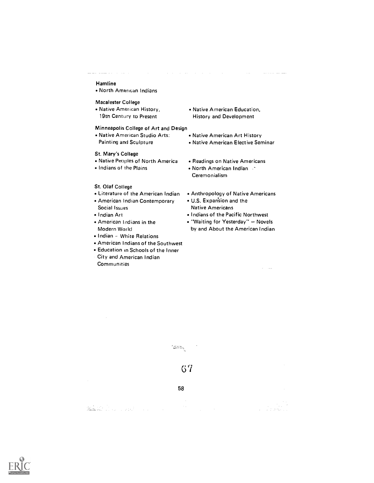# Hamline

North American Indians

## Macalester College

Native American History, 19th Century to Present

### Minneapolis College of Art and Design

Native American Studio Arts: Painting and Sculpture

## St. Mary's College

- Native Peoples of North America
- Indians of the Plains

### St. Olaf College

- Literature of the American Indian
- American Indian Contemporary Social Issues
- Indian Art
- American Indians in the Modern World
- Indian White Relations
- American Indians of the Southwest
- Education in Schools of the Inner
- City and American Indian **Communities**

Native American Education, History and Development

للمنابط المنابطات

 $\mathcal{L}^{\mathcal{L}}$  and  $\mathcal{L}^{\mathcal{L}}$  are the set of the set of the  $\mathcal{L}^{\mathcal{L}}$ 

- Native American Art History
- Native American Elective Seminar
- Readings on Native Americans
- North American Indian Ceremonialism
- Anthropology of Native Americans
- U.S. Exparision and the Native Americans
- Indians of the Pacific Northwest
- . "Waiting for Yesterday" Novels by and About the American Indian

 $\lambda_{\rm{max}}$  and  $\lambda_{\rm{max}}$ 



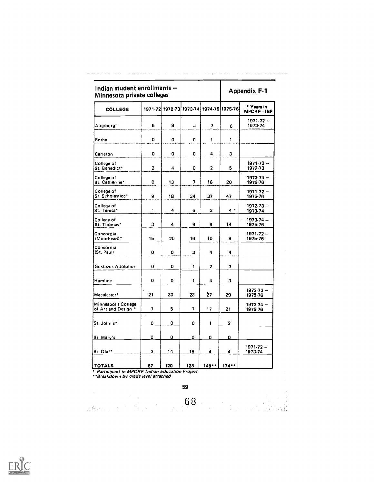| Indian student enrollments -<br>Minnesota private colleges |                         |     |                |                |                                         | Appendix F-1                     |
|------------------------------------------------------------|-------------------------|-----|----------------|----------------|-----------------------------------------|----------------------------------|
| <b>COLLEGE</b>                                             |                         |     |                |                | 1971-72 1972-73 1973-74 1974-75 1975-76 | * Years in<br><b>MPCRF · IEP</b> |
| Augsburg'                                                  | 6                       | 8   | з              | 7              | 6                                       | $1971.72 -$<br>1973-74           |
| Bethel                                                     | 0                       | 0   | 0              | 1              | 1                                       |                                  |
| Carleton                                                   | 0                       | 0   | 0              | 4              | 3                                       |                                  |
| College of<br>St. Benedict*                                | $\overline{\mathbf{z}}$ | 4   | 0              | $\overline{2}$ | 5                                       | $1971.72 -$<br>1972-73           |
| College of<br>St. Catherine*                               | o                       | 13  | 7              | 16             | 20                                      | $1973.74 -$<br>1975.76           |
| College of<br>St. Scholastica*                             | 9                       | 18  | 34             | 37             | 47                                      | $1971.72 -$<br>1975-76           |
| College of<br>St. Teresa*                                  | 1                       | 4   | 6              | з              | $4 -$                                   | $1972.73 -$<br>1973-74           |
| College of<br>St. Thomas*                                  | 3                       | 4   | 9              | 9              | 14                                      | 1973.74 -<br>1975.76             |
| Concordia<br>(Moorhead)*                                   | 15                      | 20  | 16             | 10             | 8                                       | $1971.72 -$<br>1975.76           |
| Concordia<br>(St. Paul)                                    | 0                       | 0   | з              | 4              | 4                                       |                                  |
| Gustavus Adolphus                                          | 0                       | 0   | 1              | 2              | 3                                       |                                  |
| Hamline                                                    | 0                       | 0   | 1              | 4              | 3                                       |                                  |
| Macalester*                                                | 21                      | 30  | 23             | 27             | 29                                      | $1972.73 -$<br>1975.76           |
| Minneapolis College<br>of Art and Design <sup>*</sup>      | 7                       | 5   | $\overline{7}$ | 17             | 21                                      | $1973.74 -$<br>1975.76           |
| St. John's*                                                | 0                       | 0   | 0              | 1              | 2                                       |                                  |
| St. Mary's                                                 | 0                       | O   | O              | 0              | 0                                       |                                  |
| St. Olaf*                                                  | 3                       | 14  | 18             | 4              | 4                                       | $1971.72 -$<br>1973.74           |
| TOTALS                                                     | 67                      | 120 | 128            | 148            | 174                                     |                                  |

 $\mathcal{L}^{\mathcal{L}}$  and  $\mathcal{L}^{\mathcal{L}}$  and  $\mathcal{L}^{\mathcal{L}}$  and  $\mathcal{L}^{\mathcal{L}}$ 

ستستط يستشف واستادوا والادار التواريط العالم والأرواد

التواري والمتحدث والمستقطعات

59

 $\sim$ 

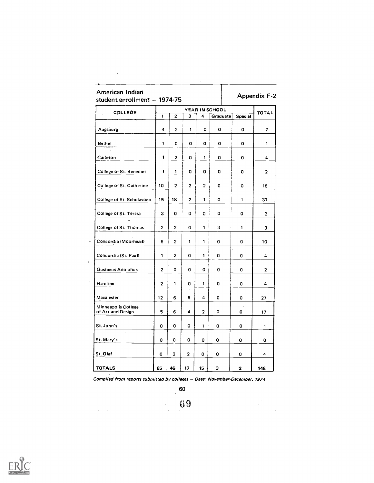| American Indian<br>student enrollment - 1974-75 |                |                |                |                |                |         | <b>Appendix F-2</b>     |
|-------------------------------------------------|----------------|----------------|----------------|----------------|----------------|---------|-------------------------|
| COLLEGE                                         |                |                |                |                | YEAR IN SCHOOL |         | <b>TOTAL</b>            |
|                                                 | 1              | $\overline{2}$ | 3              | 4              | Graduate       | Special |                         |
| Augsburg                                        | 4              | $\overline{2}$ | 1              | 0              | 0              | 0       | $\overline{\mathbf{z}}$ |
| Bethel                                          | 1              | 0              | 0              | 0              | 0              | 0       | 1                       |
| Carleton                                        | 1              | 2              | 0              | 1              | o              | 0       | 4                       |
| College of St. Benedict                         | 1              | 1              | 0              | 0              | 0              | o       | $\overline{2}$          |
| College of St. Catherine                        | 10             | $\overline{2}$ | $\overline{2}$ | $\overline{2}$ | 0              | 0       | 16                      |
| College of St. Scholastica                      | 15             | 18             | $\overline{2}$ | 1              | 0              | 1       | 37                      |
| College of St. Teresa                           | 3              | 0              | 0              | o              | 0              | 0       | 3                       |
| College of St. Thomas                           | $\overline{2}$ | $\overline{2}$ | O              | 1              | 3              | 1       | 9                       |
| Concordia (Moorhead)                            | 6              | $\overline{2}$ | $\mathbf{1}$   | 1              | 0              | 0       | 10                      |
| Concordia (St. Paul)                            | 1              | 2              | 0              | 1              | 0              | O       | 4                       |
| Gustavus Adolphus                               | $\overline{2}$ | 0              | O              | 0              | 0              | O       | $\overline{2}$          |
| Hamline                                         | $\overline{c}$ | $\mathbf{1}$   | o              | 1              | o              | 0       | 4                       |
| Macalester                                      | 12             | 6              | 5              | 4              | 0              | 0       | 27                      |
| Minneapolis College<br>of Art and Design        | 5              | 6              | 4              | $\overline{2}$ | 0              | 0       | 17                      |
| St. John's'                                     | o              | o              | O              | 1              | o              | 0       | 1                       |
| A.<br>St. Mary's                                | o              | 0              | 0              | o              | 0              | 0       | 0                       |
| St. Olaf                                        | 0              | $\overline{2}$ | 2              | 0              | 0              | 0       | 4                       |
| <b>TOTALS</b>                                   | 65             | 46             | 17             | 15             | 3              | 2       | 148                     |

 $\mathcal{L}^{\text{max}}_{\text{max}}$ 

 $\frac{1}{2}$ 

 $\bar{1}$ 

Compiled from reports submitted by colleges - Date: November-December, 1974

60

69

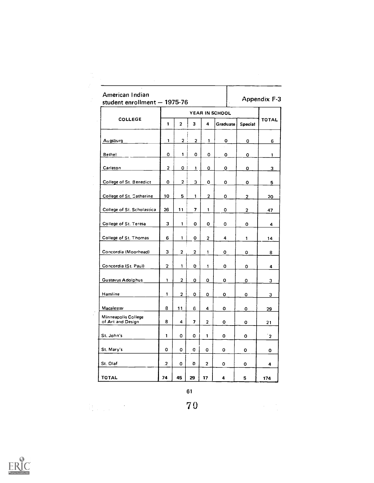|                                          |                | YEAR IN SCHOOL |                          |                |             |                |                |
|------------------------------------------|----------------|----------------|--------------------------|----------------|-------------|----------------|----------------|
| COLLEGE                                  | 1              | $\overline{a}$ | 3                        | 4              | Graduate    | <b>Special</b> | <b>TOTAL</b>   |
| Augsburg                                 | $\mathbf{1}$   | 2 <sub>1</sub> | $\overline{a}$           | $\mathbf{1}$   | o           | 0              | 6              |
| Bethel                                   | 0              | $\mathbf{1}$   | $\mathbf{o}$             | 0              | 0           | o              | 1              |
| Carleton                                 | $\overline{2}$ | $\circ$        | $\mathbf{1}$             | 0              | 0           | 0              | 3              |
| College of St. Benedict                  | 0              | 2 <sup>1</sup> | з                        | 0              | 0           | 0              | 5              |
| College of St. Catherine                 | 10             | 5              | 1                        | 2              | 0           | $\mathbf{2}$   | 20             |
| College of St. Scholastica               | 26             | 11             | $\overline{\phantom{a}}$ | $\mathbf{1}$   | $\mathbf o$ | 2              | 47             |
| College of St. Teresa                    | 3              | $\mathbf{1}$   | 0                        | 0              | 0           | 0              | 4              |
| College of St. Thomas                    | 6              | 1              | 0                        | $\mathbf{2}$   | 4           | $\mathbf{1}$   | 14             |
| Concordia (Moorhead)                     | 3              | $\overline{2}$ | 2                        | 1              | 0           | 0              | 8              |
| Concordia (St. Paul)                     | $\overline{2}$ | 1              | 0                        | $\mathbf{1}$   | 0           | О              | 4              |
| Gustavus Adolphus                        | $\mathbf{1}$   | $\overline{2}$ | 0                        | 0              | 0           | 0              | 3.             |
| Hamline                                  | 1              | $\mathbf{2}$   | 0                        | 0              | 0           | 0              | 3              |
| Macalester                               | 8              | 11             | 6                        | 4              | 0           | 0              | 29             |
| Minneapolis College<br>of Art and Design | 8              | 4              | $\overline{\mathbf{z}}$  | $\overline{a}$ | 0           | 0              | 21             |
| St. John's                               | 1              | 0              | 0                        | $\mathbf{1}$   | 0           | 0              | $\overline{2}$ |
| St. Mary's                               | 0              | 0              | C.                       | 0              | 0           | 0              | 0              |
| St. Olaf                                 | $\cdot$        | 0              | O                        | $\overline{2}$ | 0           | 0              | 4              |
| <b>TOTAL</b>                             | 74             | 45             | 29                       | 17             | 4           | 5              | 174            |

 $\lim_{\lambda\rightarrow\infty} \lambda_{\lambda}$ 

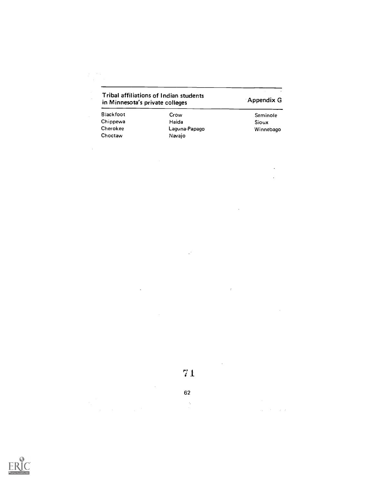| in Minnesota's private colleges | Tribal affiliations of Indian students | Appendix G |
|---------------------------------|----------------------------------------|------------|
| Blackfoot                       | Crow                                   | Seminole   |
| Chippewa                        | Haida                                  | Sioux      |

Choctaw Navajo

 $\hat{\mathcal{A}}$ 

 $\hat{\boldsymbol{\beta}}$ 

Cherokee Laguna-Papago Winnebago

 $\cdot$  $\ddot{\phantom{a}}$ 

 $\sim$ 

 $\label{eq:2.1} \begin{split} \mathcal{L}_{\text{max}}(\mathbf{r}) = \mathcal{L}_{\text{max}}(\mathbf{r}) \mathcal{L}_{\text{max}}(\mathbf{r}) \mathcal{L}_{\text{max}}(\mathbf{r}) \mathcal{L}_{\text{max}}(\mathbf{r}) \mathcal{L}_{\text{max}}(\mathbf{r}) \mathcal{L}_{\text{max}}(\mathbf{r}) \mathcal{L}_{\text{max}}(\mathbf{r}) \mathcal{L}_{\text{max}}(\mathbf{r}) \mathcal{L}_{\text{max}}(\mathbf{r}) \mathcal{L}_{\text{max}}(\mathbf{r}) \mathcal{L}_{\text{max}}(\mathbf{r}) \$ 

 $\ddot{\phantom{0}}$ 

 $\bar{z}$ 

 $\bar{z}$ 

| $7\,1$ |  |  |  |  |  |
|--------|--|--|--|--|--|
|--------|--|--|--|--|--|

 $\mathbb{R}^2$ 

62

 $\frac{1}{2}$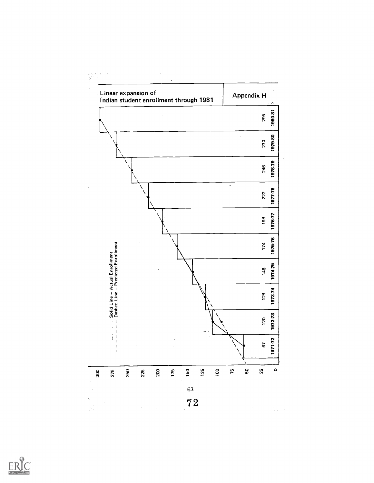

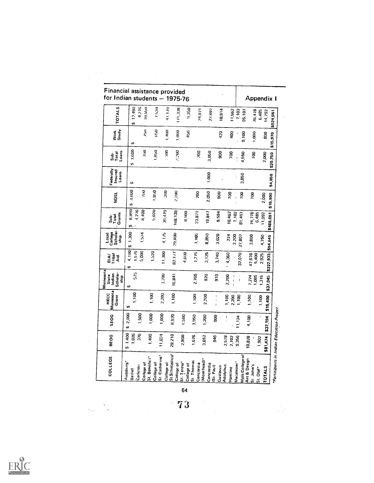| 12.490<br>4.276<br><b>TOTALS</b><br>41.179<br>10,550<br>7.520<br><b>171,338</b><br>0.350<br>10,914<br>7,102<br>24,071<br>11,562<br>22,897<br>76,478<br><b>95,107</b><br>6,485<br>14,792<br>W)<br>$\ddot{z}$<br>Work<br>Study<br>$\tilde{z}$<br>1,400<br>1,000<br>450<br>420<br>ą00<br>1,000<br>0,100<br>800<br>Ψ,<br>3,600<br>05871<br>$\tilde{\mathbf{z}}$<br>GOK:<br>2,000<br>Loans<br>500<br>3,050<br>800<br>Sub<br>Total<br>DOL<br>4,550<br>2,000<br>50<br>v,<br>Federally<br>Insured<br>Loans<br>1,000<br>3,850<br>ć<br>S,<br>3,600<br>1,850<br>$\tilde{z}$<br>β<br>2,200<br>2.050<br>g<br>ခဲ့<br>Soc<br>200<br>200<br>NDSL<br>$\frac{1}{1}$<br>2,000<br>ł<br>G,<br>8,800<br>4,276<br>5,020<br>8,400<br>39,479<br>68,138<br>19,847<br>8,900<br>9,594<br>23,871<br>10,462<br>74,778<br>6.485<br>2102<br>Grants<br>81,457<br>Total<br>ف<br>م<br>U.<br>Local<br>College<br>Scholar-<br>ship<br>1,300<br>1,524<br>4.115<br>29,890<br>8,850<br>7,105<br>3,020<br>224<br>2,200<br>3,800<br>27,807<br>4.750<br>s,<br>4,190<br>$\frac{1.575}{5.000}$<br>1,520<br>17,300<br>82,177<br>3,125<br>7,275<br>4,600<br>3,740<br>4,360<br>32,070<br>47,676<br>5,400<br>2,925<br>reqi 1<br>Laig<br><b>Aid</b><br>s,<br>Minnesota<br>Scholar<br>5/5<br>State<br>Indian<br>2,765<br>3,200<br>16,841<br>820<br>970<br>2,200<br>ship<br>7.274<br>1,085<br>1,315<br>$\pmb{\mathfrak{f}}$<br>ł<br>S,<br>Minnesota<br>1,100<br>2,200<br>HECC<br>$\frac{8}{1}$<br>1,100<br>1,100<br>2,200<br>$\frac{8}{100}$<br>1,100<br>$\mathbf{I}$<br>2,200<br>1,100<br>Grant<br>1,100<br>ţ<br>49<br>2,000<br>500<br>1,000<br>000.1<br>SEOG<br>8,920<br>1,500<br>3,950<br>200<br>g<br>\$37,194<br>11,124<br>4,100<br>v,<br>\$1,400<br>1,026<br>376<br>1,400<br>o<br>Ē<br>c<br>2,800<br>ю<br>$\sim$<br>946<br>$\infty$<br>2,702<br>9,356<br>10,828<br>1,902<br><b>DED</b><br>5,<br>3,65<br>\$81,474<br>2,57<br>$\frac{5}{1}$<br>29,21<br>St.Scholastica*<br>St. Catherine*<br>Mpls.College of<br>COLLEGE<br>St. Benedict*<br>Art & Design<br>(Moorhead)<br>St. Thomas<br>Augsburg*<br>St. Teresa*<br>Macalester <sup>+</sup><br>College of<br>College of<br>College of<br>Concordia<br>Concordia<br>College of<br>College of<br>Carleton<br>Adolphus<br>[St. Paul]<br>Gustavus<br><b>TOTALS</b><br>Hamline<br>St. Olaf <sup>*</sup><br>Bethel | <b>Financial assistance provided</b><br>for Indian students - 1975-76 |  |  |  |  |  |  |  |  |  |  | Appendix I |  |          |  |
|-------------------------------------------------------------------------------------------------------------------------------------------------------------------------------------------------------------------------------------------------------------------------------------------------------------------------------------------------------------------------------------------------------------------------------------------------------------------------------------------------------------------------------------------------------------------------------------------------------------------------------------------------------------------------------------------------------------------------------------------------------------------------------------------------------------------------------------------------------------------------------------------------------------------------------------------------------------------------------------------------------------------------------------------------------------------------------------------------------------------------------------------------------------------------------------------------------------------------------------------------------------------------------------------------------------------------------------------------------------------------------------------------------------------------------------------------------------------------------------------------------------------------------------------------------------------------------------------------------------------------------------------------------------------------------------------------------------------------------------------------------------------------------------------------------------------------------------------------------------------------------------------------------------------------------------------------------------------------------------------------------------------------------------------------------------------------------------------------------------------------------------------------------------------------------------------------------------------------------------------------------------------------------------------------------------|-----------------------------------------------------------------------|--|--|--|--|--|--|--|--|--|--|------------|--|----------|--|
|                                                                                                                                                                                                                                                                                                                                                                                                                                                                                                                                                                                                                                                                                                                                                                                                                                                                                                                                                                                                                                                                                                                                                                                                                                                                                                                                                                                                                                                                                                                                                                                                                                                                                                                                                                                                                                                                                                                                                                                                                                                                                                                                                                                                                                                                                                             |                                                                       |  |  |  |  |  |  |  |  |  |  |            |  |          |  |
| \$15,400                                                                                                                                                                                                                                                                                                                                                                                                                                                                                                                                                                                                                                                                                                                                                                                                                                                                                                                                                                                                                                                                                                                                                                                                                                                                                                                                                                                                                                                                                                                                                                                                                                                                                                                                                                                                                                                                                                                                                                                                                                                                                                                                                                                                                                                                                                    |                                                                       |  |  |  |  |  |  |  |  |  |  |            |  | \$15,970 |  |
|                                                                                                                                                                                                                                                                                                                                                                                                                                                                                                                                                                                                                                                                                                                                                                                                                                                                                                                                                                                                                                                                                                                                                                                                                                                                                                                                                                                                                                                                                                                                                                                                                                                                                                                                                                                                                                                                                                                                                                                                                                                                                                                                                                                                                                                                                                             |                                                                       |  |  |  |  |  |  |  |  |  |  |            |  | \$20,750 |  |
| \$15,900<br>\$37,045                                                                                                                                                                                                                                                                                                                                                                                                                                                                                                                                                                                                                                                                                                                                                                                                                                                                                                                                                                                                                                                                                                                                                                                                                                                                                                                                                                                                                                                                                                                                                                                                                                                                                                                                                                                                                                                                                                                                                                                                                                                                                                                                                                                                                                                                                        |                                                                       |  |  |  |  |  |  |  |  |  |  |            |  | \$4,850  |  |
| \$488,691                                                                                                                                                                                                                                                                                                                                                                                                                                                                                                                                                                                                                                                                                                                                                                                                                                                                                                                                                                                                                                                                                                                                                                                                                                                                                                                                                                                                                                                                                                                                                                                                                                                                                                                                                                                                                                                                                                                                                                                                                                                                                                                                                                                                                                                                                                   |                                                                       |  |  |  |  |  |  |  |  |  |  |            |  |          |  |
| \$94,645                                                                                                                                                                                                                                                                                                                                                                                                                                                                                                                                                                                                                                                                                                                                                                                                                                                                                                                                                                                                                                                                                                                                                                                                                                                                                                                                                                                                                                                                                                                                                                                                                                                                                                                                                                                                                                                                                                                                                                                                                                                                                                                                                                                                                                                                                                    |                                                                       |  |  |  |  |  |  |  |  |  |  |            |  |          |  |
| \$222,933                                                                                                                                                                                                                                                                                                                                                                                                                                                                                                                                                                                                                                                                                                                                                                                                                                                                                                                                                                                                                                                                                                                                                                                                                                                                                                                                                                                                                                                                                                                                                                                                                                                                                                                                                                                                                                                                                                                                                                                                                                                                                                                                                                                                                                                                                                   |                                                                       |  |  |  |  |  |  |  |  |  |  |            |  |          |  |
|                                                                                                                                                                                                                                                                                                                                                                                                                                                                                                                                                                                                                                                                                                                                                                                                                                                                                                                                                                                                                                                                                                                                                                                                                                                                                                                                                                                                                                                                                                                                                                                                                                                                                                                                                                                                                                                                                                                                                                                                                                                                                                                                                                                                                                                                                                             |                                                                       |  |  |  |  |  |  |  |  |  |  |            |  |          |  |
|                                                                                                                                                                                                                                                                                                                                                                                                                                                                                                                                                                                                                                                                                                                                                                                                                                                                                                                                                                                                                                                                                                                                                                                                                                                                                                                                                                                                                                                                                                                                                                                                                                                                                                                                                                                                                                                                                                                                                                                                                                                                                                                                                                                                                                                                                                             |                                                                       |  |  |  |  |  |  |  |  |  |  |            |  |          |  |
|                                                                                                                                                                                                                                                                                                                                                                                                                                                                                                                                                                                                                                                                                                                                                                                                                                                                                                                                                                                                                                                                                                                                                                                                                                                                                                                                                                                                                                                                                                                                                                                                                                                                                                                                                                                                                                                                                                                                                                                                                                                                                                                                                                                                                                                                                                             |                                                                       |  |  |  |  |  |  |  |  |  |  |            |  |          |  |
|                                                                                                                                                                                                                                                                                                                                                                                                                                                                                                                                                                                                                                                                                                                                                                                                                                                                                                                                                                                                                                                                                                                                                                                                                                                                                                                                                                                                                                                                                                                                                                                                                                                                                                                                                                                                                                                                                                                                                                                                                                                                                                                                                                                                                                                                                                             |                                                                       |  |  |  |  |  |  |  |  |  |  |            |  |          |  |
|                                                                                                                                                                                                                                                                                                                                                                                                                                                                                                                                                                                                                                                                                                                                                                                                                                                                                                                                                                                                                                                                                                                                                                                                                                                                                                                                                                                                                                                                                                                                                                                                                                                                                                                                                                                                                                                                                                                                                                                                                                                                                                                                                                                                                                                                                                             |                                                                       |  |  |  |  |  |  |  |  |  |  |            |  |          |  |
|                                                                                                                                                                                                                                                                                                                                                                                                                                                                                                                                                                                                                                                                                                                                                                                                                                                                                                                                                                                                                                                                                                                                                                                                                                                                                                                                                                                                                                                                                                                                                                                                                                                                                                                                                                                                                                                                                                                                                                                                                                                                                                                                                                                                                                                                                                             |                                                                       |  |  |  |  |  |  |  |  |  |  | St. John's |  |          |  |

 $\lambda_{\rm{max}}$ 

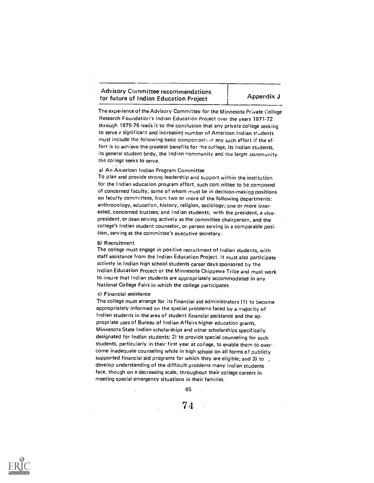# Advisory Committee recommendations for future of Indian Education Project Appendix J

The experience of the Advisory Committee for the Minnesota Private College Research Foundation's Indian Education Project over the years 1971-72 through 1975-76 leads it to the conclusion that any private college seeking to serve e significant and increasing number of American Indian students must include the following basic components in any such effort if the effort is to achieve the greatest benefits for the college, its Indian students, its general student body, the Indian community and the larger community the college seeks to serve.

## a) An American Indian Program Committee

To plan and provide strong leadership and support within the institution for the Indian education program effort, such com nittee to be composed of concerned faculty, some of whom must be in decision-making positions on faculty committees, from two or more of the following departments: anthropology, education, history, religion, sociology; one or more interested, concerned trustees; and Indian students; with the president, a vicepresident, or dean serving actively as the committee chairperson, and the college's Indian student counselor, or person serving in a comparable position, serving as the committee's executive secretary.

#### b) Recruitment

The college must engage in positive recruitment of Indian students, with staff assistance from the Indian Education Project. It must also participate actively in Indian high school students career days sponsored by the Indian Education Project or the Minnesota Chippewa Tribe and must work to insure that Indian students are appropriately accommodated in any National College Fairs in which the college participates.

## c) Financial assistance

The college must arrange for its financial aid administrators (1) to become appropriately informed on the special problems faced by a majority of Indian students in the area of student financial assistance and the appropriate uses of Bureau of Indian Affairs higher education grants, Minnesota State Indian scholarships and other scholarships specifically designated for Indian students; 2) to provide special counseling for such students, particularly in their first year at college, to enable them to overcome inadequate counseling while in high school on all forms of publicly supported financial aid programs for which they are eligible; and 3) to . develop understanding of the difficult problems many Indian students face, though on a decreasing scale, throughout their college careers in meeting special emergency situations in their families.

65

7 4

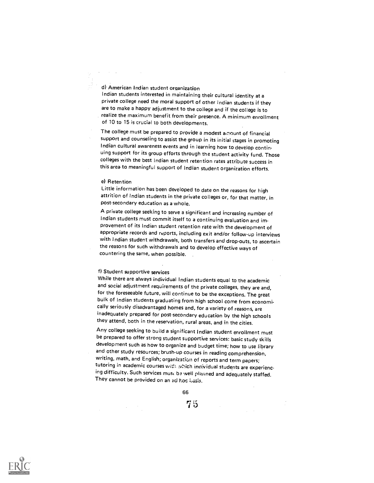d) American Indian student organization

Indian students interested in maintaining their cultural identity at a private college need the moral support of other Indian students if they are to make a happy adjustment to the college and if the college is to realize the maximum benefit from their presence. A minimum enrollment of 10 to 15 is crucial to both developments.

The college must be prepared to provide a modest ainount of financial support and counseling to assist the group in its initial stages in promoting Indian cultural awareness events and in learning how to develop continuing support for its group efforts through the student activity fund. Those colleges with the best Indian student retention rates attribute success in this area to meaningful support of Indian student organization efforts.

#### e) Retention

Little information has been developed to date on the reasons for high attrition of Indian students in the private colleges or, for that matter, in post-secondary education as a whole.

A private college seeking to serve a significant and increasing number of Indian students must commit itself to a continuing evaluation and improvement of its Indian student retention rate with the development of appropriate records and reports, including exit and/or follow-up interviews with Indian student withdrawals, both transfers and drop-outs, to ascertain the reasons for such withdrawals and to develop effective ways of countering the same, when possible.

## f) Student supportive services

While there are always individual Indian students equal to the academic and social adjustment requirements of the private colleges, they are and, for the foreseeable future, will continue to be the exceptions. The great bulk of Indian students graduating from high school come from economically seriously disadvantaged homes and, for a variety of reasons, are inadequately prepared for post-secondary education by the high schools they attend, both in the reservation, rural areas, and in the cities.

Any college seeking to build a significant Indian student enrollment must be prepared to offer strong student supportive services: basic study skills development such as how to organize and budget time; how to use library and other study resources; brush-up courses in reading comprehension, writing, math, and English; organization of reports and term papers; tutoring in academic courses with which individual students are experiencing difficulty. Such services must ba well planned and adequately staffed. They cannot be provided on an ad hoc basis.